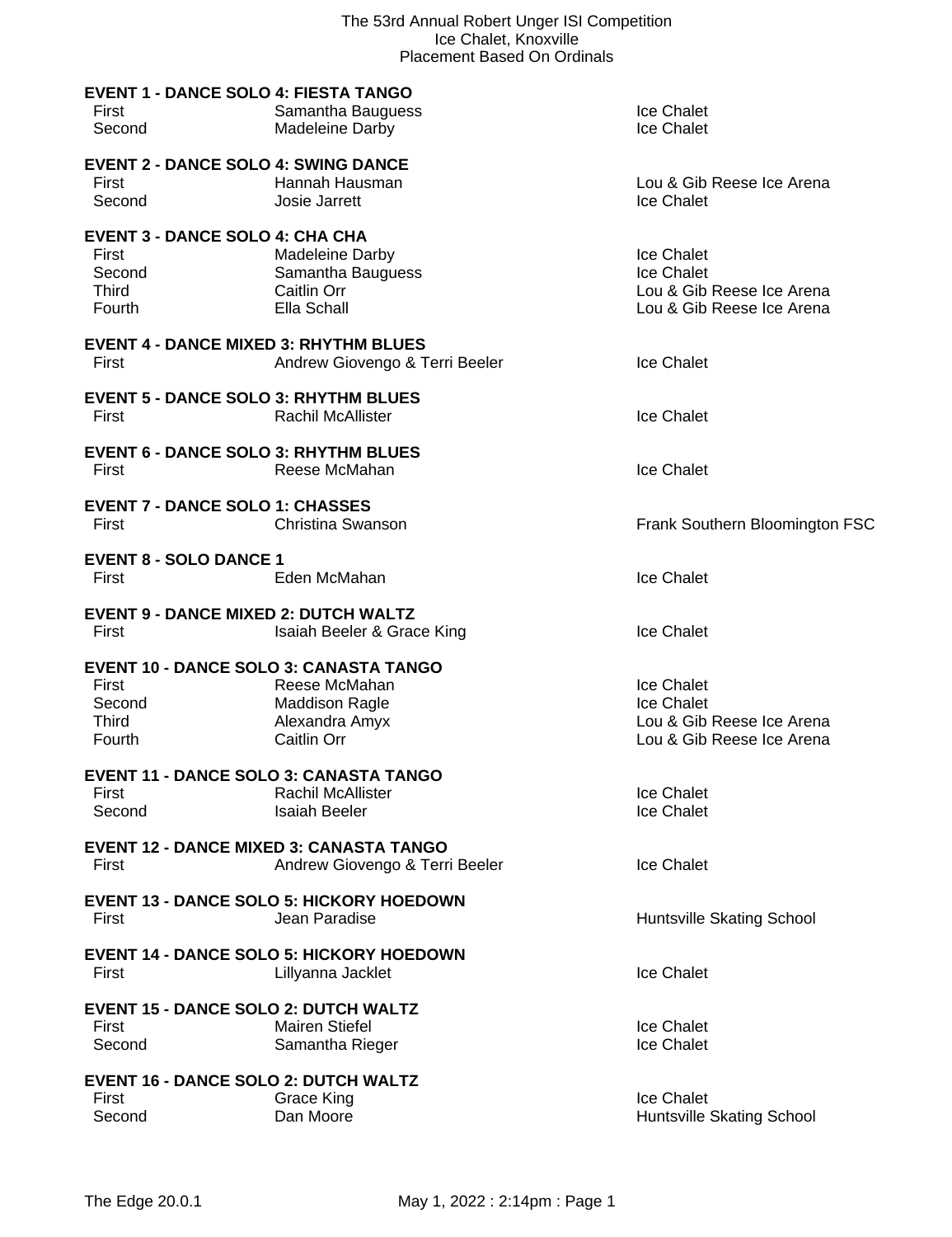| <b>EVENT 1 - DANCE SOLO 4: FIESTA TANGO</b><br>First<br>Second                             | Samantha Bauguess<br>Madeleine Darby                                             | Ice Chalet<br>Ice Chalet                                                           |
|--------------------------------------------------------------------------------------------|----------------------------------------------------------------------------------|------------------------------------------------------------------------------------|
| <b>EVENT 2 - DANCE SOLO 4: SWING DANCE</b><br>First<br>Second                              | Hannah Hausman<br>Josie Jarrett                                                  | Lou & Gib Reese Ice Arena<br>Ice Chalet                                            |
| <b>EVENT 3 - DANCE SOLO 4: CHA CHA</b><br>First<br>Second<br><b>Third</b><br>Fourth        | Madeleine Darby<br>Samantha Bauguess<br>Caitlin Orr<br>Ella Schall               | Ice Chalet<br>Ice Chalet<br>Lou & Gib Reese Ice Arena<br>Lou & Gib Reese Ice Arena |
| <b>EVENT 4 - DANCE MIXED 3: RHYTHM BLUES</b><br>First                                      | Andrew Giovengo & Terri Beeler                                                   | Ice Chalet                                                                         |
| <b>EVENT 5 - DANCE SOLO 3: RHYTHM BLUES</b><br>First                                       | <b>Rachil McAllister</b>                                                         | Ice Chalet                                                                         |
| <b>EVENT 6 - DANCE SOLO 3: RHYTHM BLUES</b><br>First                                       | Reese McMahan                                                                    | Ice Chalet                                                                         |
| <b>EVENT 7 - DANCE SOLO 1: CHASSES</b><br>First                                            | Christina Swanson                                                                | Frank Southern Bloomington FSC                                                     |
| <b>EVENT 8 - SOLO DANCE 1</b><br>First                                                     | Eden McMahan                                                                     | Ice Chalet                                                                         |
| <b>EVENT 9 - DANCE MIXED 2: DUTCH WALTZ</b><br>First                                       | Isaiah Beeler & Grace King                                                       | Ice Chalet                                                                         |
| <b>EVENT 10 - DANCE SOLO 3: CANASTA TANGO</b><br>First<br>Second<br><b>Third</b><br>Fourth | Reese McMahan<br><b>Maddison Ragle</b><br>Alexandra Amyx<br>Caitlin Orr          | Ice Chalet<br>Ice Chalet<br>Lou & Gib Reese Ice Arena<br>Lou & Gib Reese Ice Arena |
| <b>EVENT 11 - DANCE SOLO 3: CANASTA TANGO</b><br>First<br>Second                           | Rachil McAllister<br><b>Isaiah Beeler</b>                                        | Ice Chalet<br>Ice Chalet                                                           |
| First                                                                                      | <b>EVENT 12 - DANCE MIXED 3: CANASTA TANGO</b><br>Andrew Giovengo & Terri Beeler | <b>Ice Chalet</b>                                                                  |
| First                                                                                      | <b>EVENT 13 - DANCE SOLO 5: HICKORY HOEDOWN</b><br>Jean Paradise                 | Huntsville Skating School                                                          |
| First                                                                                      | <b>EVENT 14 - DANCE SOLO 5: HICKORY HOEDOWN</b><br>Lillyanna Jacklet             | <b>Ice Chalet</b>                                                                  |
| <b>EVENT 15 - DANCE SOLO 2: DUTCH WALTZ</b><br>First<br>Second                             | <b>Mairen Stiefel</b><br>Samantha Rieger                                         | Ice Chalet<br>Ice Chalet                                                           |
| <b>EVENT 16 - DANCE SOLO 2: DUTCH WALTZ</b><br>First<br>Second                             | <b>Grace King</b><br>Dan Moore                                                   | Ice Chalet<br>Huntsville Skating School                                            |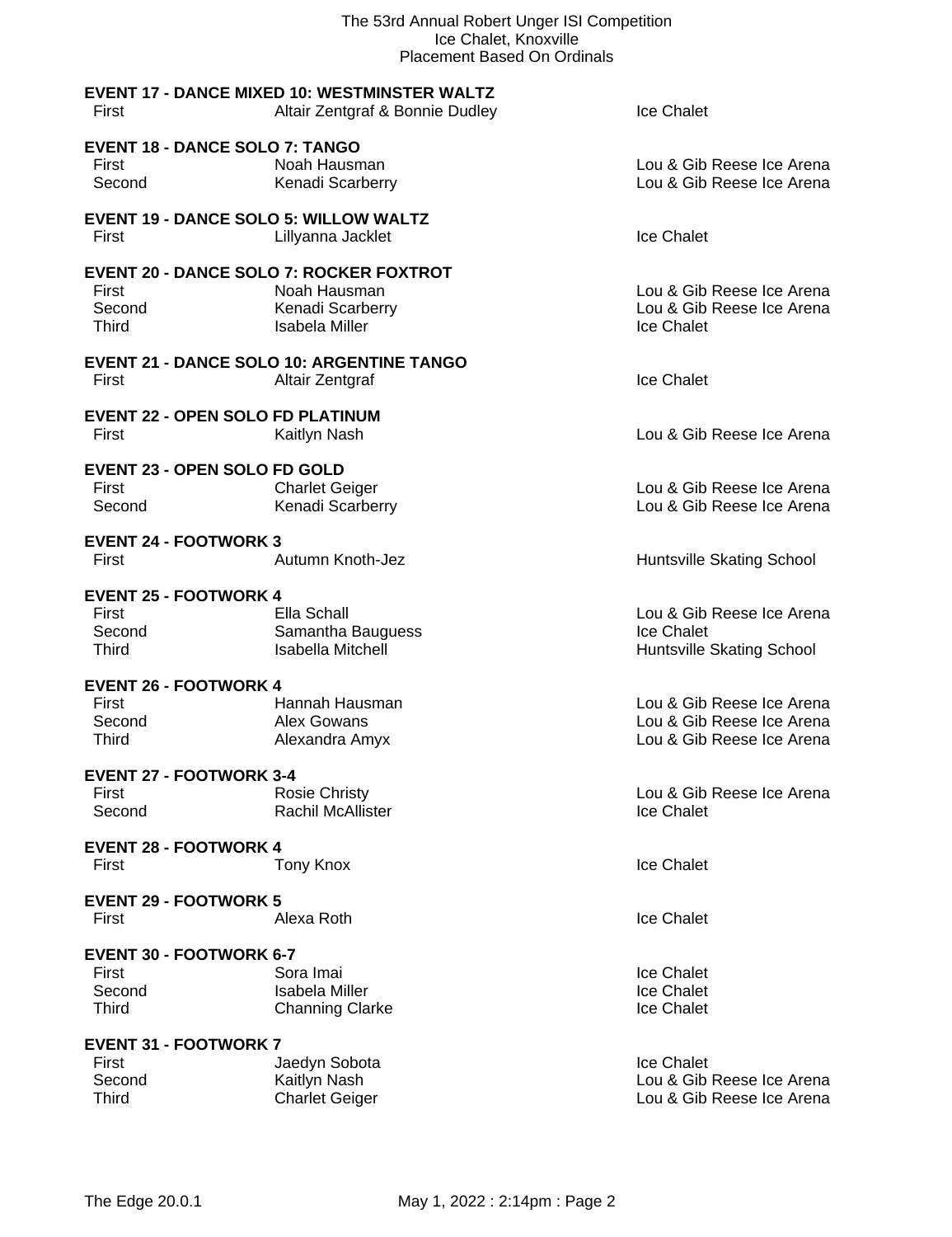| The 53rd Annual Robert Unger ISI Competition<br>Ice Chalet, Knoxville<br><b>Placement Based On Ordinals</b> |                                                     |                           |
|-------------------------------------------------------------------------------------------------------------|-----------------------------------------------------|---------------------------|
|                                                                                                             | <b>EVENT 17 - DANCE MIXED 10: WESTMINSTER WALTZ</b> |                           |
| First                                                                                                       | Altair Zentgraf & Bonnie Dudley                     | <b>Ice Chalet</b>         |
| <b>EVENT 18 - DANCE SOLO 7: TANGO</b>                                                                       |                                                     |                           |
| First                                                                                                       | Noah Hausman                                        | Lou & Gib Reese Ice Arena |
| Second                                                                                                      | Kenadi Scarberry                                    | Lou & Gib Reese Ice Arena |
| <b>EVENT 19 - DANCE SOLO 5: WILLOW WALTZ</b>                                                                |                                                     |                           |
| First                                                                                                       | Lillyanna Jacklet                                   | Ice Chalet                |
| <b>EVENT 20 - DANCE SOLO 7: ROCKER FOXTROT</b>                                                              |                                                     |                           |
| First                                                                                                       | Noah Hausman                                        | Lou & Gib Reese Ice Arena |
| Second                                                                                                      | Kenadi Scarberry                                    | Lou & Gib Reese Ice Arena |
| <b>Third</b>                                                                                                | <b>Isabela Miller</b>                               | Ice Chalet                |
|                                                                                                             | <b>EVENT 21 - DANCE SOLO 10: ARGENTINE TANGO</b>    |                           |
| First                                                                                                       | Altair Zentgraf                                     | Ice Chalet                |
| <b>EVENT 22 - OPEN SOLO FD PLATINUM</b>                                                                     |                                                     |                           |
| First                                                                                                       | Kaitlyn Nash                                        | Lou & Gib Reese Ice Arena |
|                                                                                                             |                                                     |                           |
| <b>EVENT 23 - OPEN SOLO FD GOLD</b>                                                                         |                                                     |                           |
| First                                                                                                       | <b>Charlet Geiger</b>                               | Lou & Gib Reese Ice Arena |
| Second                                                                                                      | Kenadi Scarberry                                    | Lou & Gib Reese Ice Arena |
| <b>EVENT 24 - FOOTWORK 3</b>                                                                                |                                                     |                           |
| First                                                                                                       | Autumn Knoth-Jez                                    | Huntsville Skating School |
| <b>EVENT 25 - FOOTWORK 4</b>                                                                                |                                                     |                           |
| First                                                                                                       | Ella Schall                                         | Lou & Gib Reese Ice Arena |
| Second                                                                                                      | Samantha Bauguess                                   | <b>Ice Chalet</b>         |
| <b>Third</b>                                                                                                | <b>Isabella Mitchell</b>                            | Huntsville Skating School |
| <b>EVENT 26 - FOOTWORK 4</b>                                                                                |                                                     |                           |
| First                                                                                                       | Hannah Hausman                                      | Lou & Gib Reese Ice Arena |
| Second                                                                                                      | Alex Gowans                                         | Lou & Gib Reese Ice Arena |
| <b>Third</b>                                                                                                | Alexandra Amyx                                      | Lou & Gib Reese Ice Arena |
| <b>EVENT 27 - FOOTWORK 3-4</b>                                                                              |                                                     |                           |
| First                                                                                                       | <b>Rosie Christy</b>                                | Lou & Gib Reese Ice Arena |
| Second                                                                                                      | Rachil McAllister                                   | Ice Chalet                |
| <b>EVENT 28 - FOOTWORK 4</b>                                                                                |                                                     |                           |
| First                                                                                                       | <b>Tony Knox</b>                                    | Ice Chalet                |
| <b>EVENT 29 - FOOTWORK 5</b>                                                                                |                                                     |                           |
| First                                                                                                       | Alexa Roth                                          | Ice Chalet                |
|                                                                                                             |                                                     |                           |
| <b>EVENT 30 - FOOTWORK 6-7</b>                                                                              |                                                     |                           |
| First                                                                                                       | Sora Imai                                           | Ice Chalet                |
| Second                                                                                                      | <b>Isabela Miller</b>                               | Ice Chalet                |
| <b>Third</b>                                                                                                | <b>Channing Clarke</b>                              | Ice Chalet                |
| <b>EVENT 31 - FOOTWORK 7</b>                                                                                |                                                     |                           |
| First                                                                                                       | Jaedyn Sobota                                       | Ice Chalet                |
| Second                                                                                                      | Kaitlyn Nash                                        | Lou & Gib Reese Ice Arena |
| <b>Third</b>                                                                                                | <b>Charlet Geiger</b>                               | Lou & Gib Reese Ice Arena |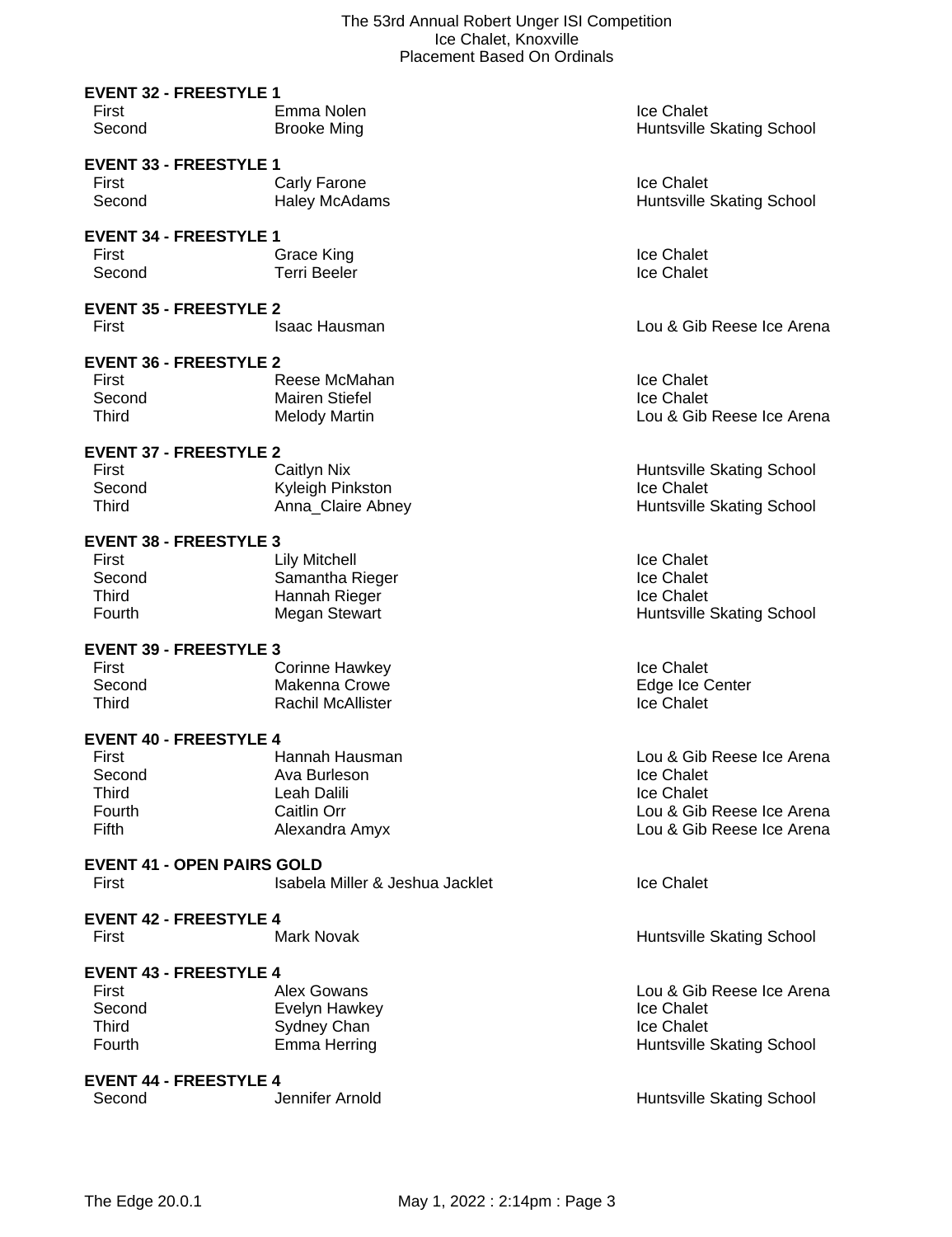|                                                                                     | acchicht Dasca On Orainais                                                       |                                                                                                                 |
|-------------------------------------------------------------------------------------|----------------------------------------------------------------------------------|-----------------------------------------------------------------------------------------------------------------|
| <b>EVENT 32 - FREESTYLE 1</b><br>First<br>Second                                    | Emma Nolen<br><b>Brooke Ming</b>                                                 | Ice Chalet<br>Huntsville Skating School                                                                         |
| <b>EVENT 33 - FREESTYLE 1</b><br>First<br>Second                                    | Carly Farone<br><b>Haley McAdams</b>                                             | Ice Chalet<br>Huntsville Skating School                                                                         |
| <b>EVENT 34 - FREESTYLE 1</b><br>First<br>Second                                    | Grace King<br><b>Terri Beeler</b>                                                | Ice Chalet<br>Ice Chalet                                                                                        |
| <b>EVENT 35 - FREESTYLE 2</b><br>First                                              | <b>Isaac Hausman</b>                                                             | Lou & Gib Reese Ice Arena                                                                                       |
| <b>EVENT 36 - FREESTYLE 2</b><br>First<br>Second<br>Third                           | Reese McMahan<br><b>Mairen Stiefel</b><br><b>Melody Martin</b>                   | Ice Chalet<br>Ice Chalet<br>Lou & Gib Reese Ice Arena                                                           |
| <b>EVENT 37 - FREESTYLE 2</b><br>First<br>Second<br>Third                           | <b>Caitlyn Nix</b><br>Kyleigh Pinkston<br>Anna Claire Abney                      | Huntsville Skating School<br>Ice Chalet<br>Huntsville Skating School                                            |
| <b>EVENT 38 - FREESTYLE 3</b><br>First<br>Second<br><b>Third</b><br>Fourth          | <b>Lily Mitchell</b><br>Samantha Rieger<br>Hannah Rieger<br><b>Megan Stewart</b> | Ice Chalet<br>Ice Chalet<br>Ice Chalet<br>Huntsville Skating School                                             |
| <b>EVENT 39 - FREESTYLE 3</b><br>First<br>Second<br>Third                           | <b>Corinne Hawkey</b><br>Makenna Crowe<br><b>Rachil McAllister</b>               | Ice Chalet<br>Edge Ice Center<br>Ice Chalet                                                                     |
| <b>EVENT 40 - FREESTYLE 4</b><br>First<br>Second<br><b>Third</b><br>Fourth<br>Fifth | Hannah Hausman<br>Ava Burleson<br>Leah Dalili<br>Caitlin Orr<br>Alexandra Amyx   | Lou & Gib Reese Ice Arena<br>Ice Chalet<br>Ice Chalet<br>Lou & Gib Reese Ice Arena<br>Lou & Gib Reese Ice Arena |
| <b>EVENT 41 - OPEN PAIRS GOLD</b><br>First                                          | Isabela Miller & Jeshua Jacklet                                                  | Ice Chalet                                                                                                      |
| <b>EVENT 42 - FREESTYLE 4</b><br>First                                              | Mark Novak                                                                       | Huntsville Skating School                                                                                       |
| <b>EVENT 43 - FREESTYLE 4</b><br>First                                              | Alex Gowans                                                                      | Lou & Gib Reese Ice Arena                                                                                       |

First Communication Communication Alex Gowans<br>
Second Evelyn Hawkey Communication Communication Chalet Chalet Second Evelyn Hawkey **Ice Chalet** Chalet Third Chalet Sydney Chan<br>
Third Chalet Chalet Chan Huntsville Skating School

Huntsville Skating School

Third Sydney Chan<br>
Fourth Emma Herring

**EVENT 44 - FREESTYLE 4**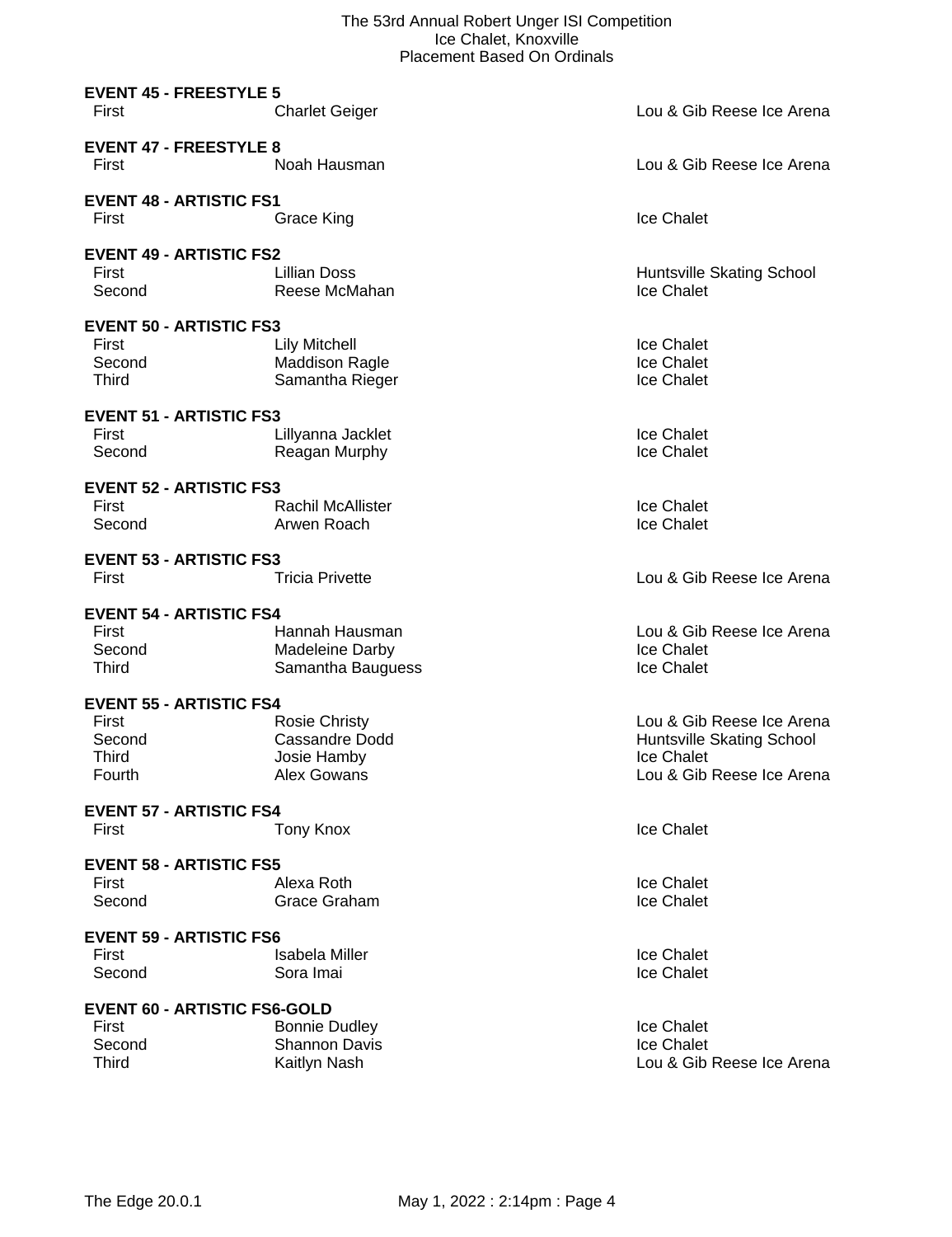### The 53rd Annual Robert Unger ISI Competition Ice Chalet, Knoxville Placement Based On Ordinals

|                                                                                                                 | PIACEMENT DASEG ON ORIGIN                                                                               |                                                                                                                 |
|-----------------------------------------------------------------------------------------------------------------|---------------------------------------------------------------------------------------------------------|-----------------------------------------------------------------------------------------------------------------|
| <b>EVENT 45 - FREESTYLE 5</b><br>First                                                                          | <b>Charlet Geiger</b>                                                                                   | Lou & Gib Reese Ice Arena                                                                                       |
| <b>EVENT 47 - FREESTYLE 8</b><br>First                                                                          | Noah Hausman                                                                                            | Lou & Gib Reese Ice Arena                                                                                       |
| <b>EVENT 48 - ARTISTIC FS1</b><br>First                                                                         | Grace King                                                                                              | Ice Chalet                                                                                                      |
| <b>EVENT 49 - ARTISTIC FS2</b><br>First<br>Second                                                               | <b>Lillian Doss</b><br>Reese McMahan                                                                    | Huntsville Skating School<br>Ice Chalet                                                                         |
| <b>EVENT 50 - ARTISTIC FS3</b><br>First<br>Second<br>Third                                                      | <b>Lily Mitchell</b><br><b>Maddison Ragle</b><br>Samantha Rieger                                        | Ice Chalet<br>Ice Chalet<br>Ice Chalet                                                                          |
| <b>EVENT 51 - ARTISTIC FS3</b><br>First<br>Second                                                               | Lillyanna Jacklet<br>Reagan Murphy                                                                      | Ice Chalet<br>Ice Chalet                                                                                        |
| <b>EVENT 52 - ARTISTIC FS3</b><br>First<br>Second                                                               | <b>Rachil McAllister</b><br>Arwen Roach                                                                 | Ice Chalet<br>Ice Chalet                                                                                        |
| <b>EVENT 53 - ARTISTIC FS3</b><br>First                                                                         | <b>Tricia Privette</b>                                                                                  | Lou & Gib Reese Ice Arena                                                                                       |
| <b>EVENT 54 - ARTISTIC FS4</b><br>First<br>Second<br>Third<br><b>EVENT 55 - ARTISTIC FS4</b><br>First<br>Second | Hannah Hausman<br>Madeleine Darby<br>Samantha Bauguess<br><b>Rosie Christy</b><br><b>Cassandre Dodd</b> | Lou & Gib Reese Ice Arena<br>Ice Chalet<br>Ice Chalet<br>Lou & Gib Reese Ice Arena<br>Huntsville Skating School |
| Third<br>Fourth                                                                                                 | Josie Hamby<br>Alex Gowans                                                                              | Ice Chalet<br>Lou & Gib Reese Ice Arena                                                                         |
| <b>EVENT 57 - ARTISTIC FS4</b><br>First                                                                         | Tony Knox                                                                                               | Ice Chalet                                                                                                      |
| <b>EVENT 58 - ARTISTIC FS5</b><br>First<br>Second                                                               | Alexa Roth<br>Grace Graham                                                                              | Ice Chalet<br>Ice Chalet                                                                                        |
| <b>EVENT 59 - ARTISTIC FS6</b><br>First<br>Second                                                               | <b>Isabela Miller</b><br>Sora Imai                                                                      | Ice Chalet<br>Ice Chalet                                                                                        |
| <b>EVENT 60 - ARTISTIC FS6-GOLD</b><br>First<br>Second<br><b>Third</b>                                          | <b>Bonnie Dudley</b><br><b>Shannon Davis</b><br>Kaitlyn Nash                                            | Ice Chalet<br>Ice Chalet<br>Lou & Gib Reese Ice Arena                                                           |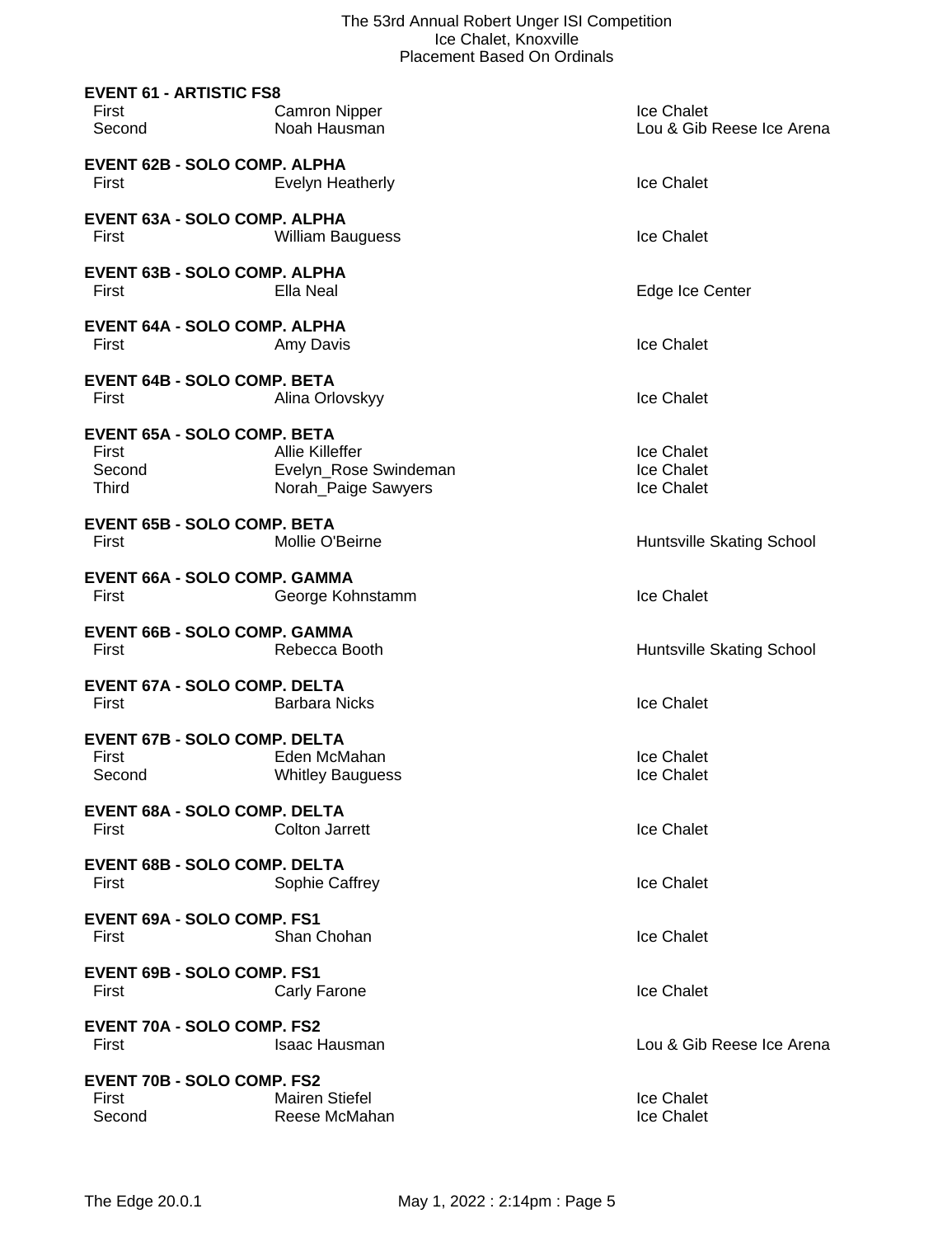| <b>EVENT 61 - ARTISTIC FS8</b><br>First<br>Second                     | <b>Camron Nipper</b><br>Noah Hausman                                   | Ice Chalet<br>Lou & Gib Reese Ice Arena |
|-----------------------------------------------------------------------|------------------------------------------------------------------------|-----------------------------------------|
| <b>EVENT 62B - SOLO COMP. ALPHA</b><br>First                          | Evelyn Heatherly                                                       | Ice Chalet                              |
| EVENT 63A - SOLO COMP. ALPHA<br>First                                 | <b>William Bauguess</b>                                                | Ice Chalet                              |
| <b>EVENT 63B - SOLO COMP. ALPHA</b><br>First                          | Ella Neal                                                              | Edge Ice Center                         |
| <b>EVENT 64A - SOLO COMP. ALPHA</b><br>First                          | Amy Davis                                                              | Ice Chalet                              |
| <b>EVENT 64B - SOLO COMP. BETA</b><br>First                           | Alina Orlovskyy                                                        | Ice Chalet                              |
| <b>EVENT 65A - SOLO COMP. BETA</b><br>First<br>Second<br><b>Third</b> | <b>Allie Killeffer</b><br>Evelyn_Rose Swindeman<br>Norah_Paige Sawyers | Ice Chalet<br>Ice Chalet<br>Ice Chalet  |
| <b>EVENT 65B - SOLO COMP. BETA</b><br>First                           | Mollie O'Beirne                                                        | Huntsville Skating School               |
| <b>EVENT 66A - SOLO COMP. GAMMA</b><br>First                          | George Kohnstamm                                                       | Ice Chalet                              |
| <b>EVENT 66B - SOLO COMP. GAMMA</b><br>First                          | Rebecca Booth                                                          | Huntsville Skating School               |
| <b>EVENT 67A - SOLO COMP. DELTA</b><br>First                          | <b>Barbara Nicks</b>                                                   | Ice Chalet                              |
| <b>EVENT 67B - SOLO COMP. DELTA</b><br>First<br>Second                | Eden McMahan<br><b>Whitley Bauguess</b>                                | Ice Chalet<br>Ice Chalet                |
| <b>EVENT 68A - SOLO COMP. DELTA</b><br>First                          | <b>Colton Jarrett</b>                                                  | Ice Chalet                              |
| <b>EVENT 68B - SOLO COMP. DELTA</b><br>First                          | Sophie Caffrey                                                         | Ice Chalet                              |
| <b>EVENT 69A - SOLO COMP. FS1</b><br>First                            | Shan Chohan                                                            | Ice Chalet                              |
| <b>EVENT 69B - SOLO COMP. FS1</b><br>First                            | Carly Farone                                                           | Ice Chalet                              |
| <b>EVENT 70A - SOLO COMP. FS2</b><br>First                            | <b>Isaac Hausman</b>                                                   | Lou & Gib Reese Ice Arena               |
| <b>EVENT 70B - SOLO COMP. FS2</b><br>First<br>Second                  | <b>Mairen Stiefel</b><br>Reese McMahan                                 | Ice Chalet<br>Ice Chalet                |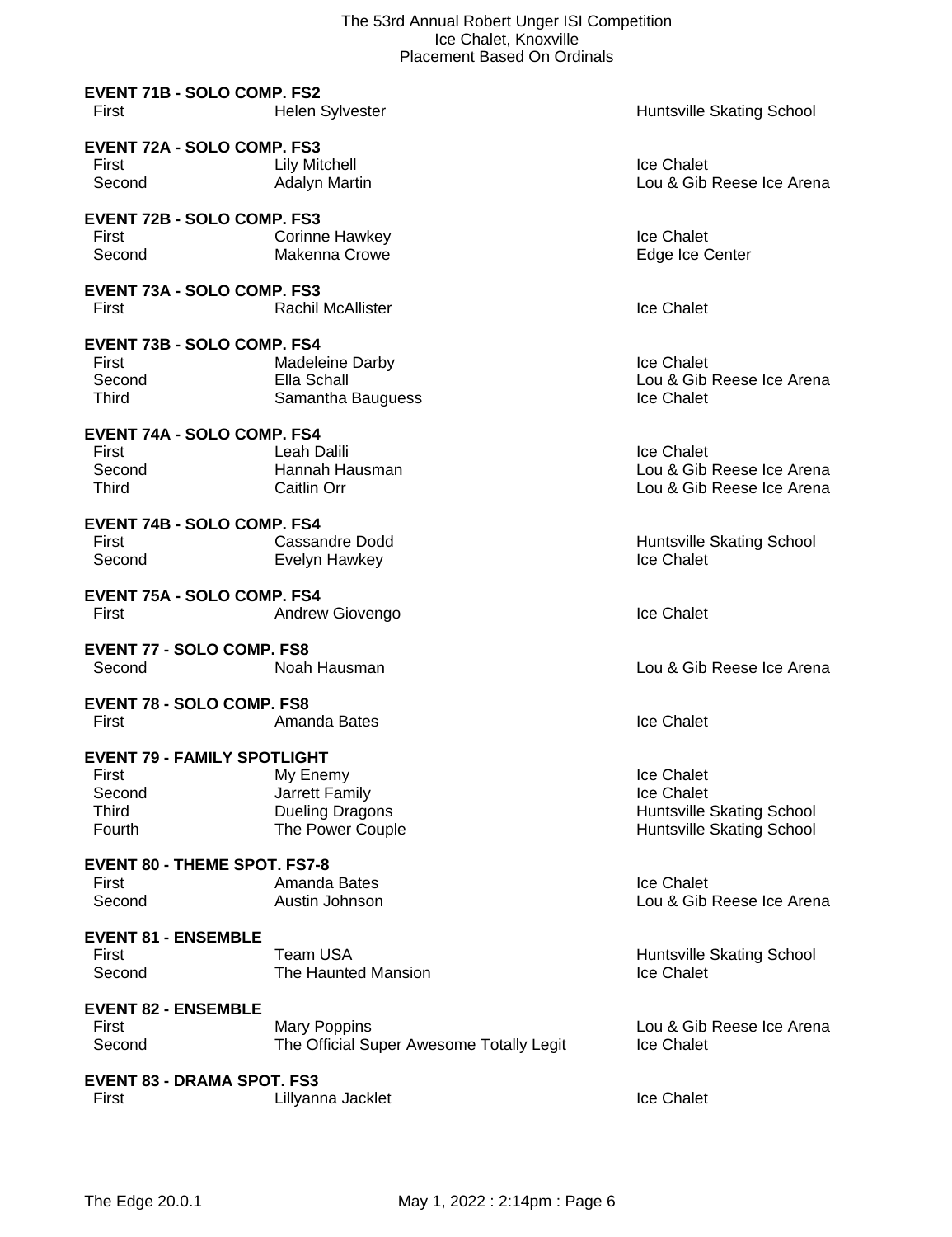| <b>EVENT 71B - SOLO COMP. FS2</b><br>First                                             | <b>Helen Sylvester</b>                                                   | Huntsville Skating School                                                          |
|----------------------------------------------------------------------------------------|--------------------------------------------------------------------------|------------------------------------------------------------------------------------|
| <b>EVENT 72A - SOLO COMP. FS3</b><br>First<br>Second                                   | <b>Lily Mitchell</b><br><b>Adalyn Martin</b>                             | Ice Chalet<br>Lou & Gib Reese Ice Arena                                            |
| <b>EVENT 72B - SOLO COMP. FS3</b><br>First<br>Second                                   | Corinne Hawkey<br>Makenna Crowe                                          | Ice Chalet<br>Edge Ice Center                                                      |
| <b>EVENT 73A - SOLO COMP. FS3</b><br>First                                             | <b>Rachil McAllister</b>                                                 | Ice Chalet                                                                         |
| <b>EVENT 73B - SOLO COMP. FS4</b><br>First<br>Second<br><b>Third</b>                   | <b>Madeleine Darby</b><br>Ella Schall<br>Samantha Bauguess               | Ice Chalet<br>Lou & Gib Reese Ice Arena<br>Ice Chalet                              |
| <b>EVENT 74A - SOLO COMP. FS4</b><br>First<br>Second<br>Third                          | Leah Dalili<br>Hannah Hausman<br>Caitlin Orr                             | <b>Ice Chalet</b><br>Lou & Gib Reese Ice Arena<br>Lou & Gib Reese Ice Arena        |
| <b>EVENT 74B - SOLO COMP. FS4</b><br>First<br>Second                                   | Cassandre Dodd<br>Evelyn Hawkey                                          | Huntsville Skating School<br>Ice Chalet                                            |
| <b>EVENT 75A - SOLO COMP. FS4</b><br>First                                             | Andrew Giovengo                                                          | Ice Chalet                                                                         |
| <b>EVENT 77 - SOLO COMP. FS8</b><br>Second                                             | Noah Hausman                                                             | Lou & Gib Reese Ice Arena                                                          |
| <b>EVENT 78 - SOLO COMP. FS8</b><br>First                                              | Amanda Bates                                                             | Ice Chalet                                                                         |
| <b>EVENT 79 - FAMILY SPOTLIGHT</b><br><b>First</b><br>Second<br><b>Third</b><br>Fourth | My Enemy<br>Jarrett Family<br><b>Dueling Dragons</b><br>The Power Couple | Ice Chalet<br>Ice Chalet<br>Huntsville Skating School<br>Huntsville Skating School |
| <b>EVENT 80 - THEME SPOT. FS7-8</b><br>First<br>Second                                 | Amanda Bates<br>Austin Johnson                                           | Ice Chalet<br>Lou & Gib Reese Ice Arena                                            |
| <b>EVENT 81 - ENSEMBLE</b><br>First<br>Second                                          | Team USA<br>The Haunted Mansion                                          | Huntsville Skating School<br>Ice Chalet                                            |
| <b>EVENT 82 - ENSEMBLE</b><br>First<br>Second                                          | <b>Mary Poppins</b><br>The Official Super Awesome Totally Legit          | Lou & Gib Reese Ice Arena<br>Ice Chalet                                            |
| <b>EVENT 83 - DRAMA SPOT. FS3</b><br>First                                             | Lillyanna Jacklet                                                        | Ice Chalet                                                                         |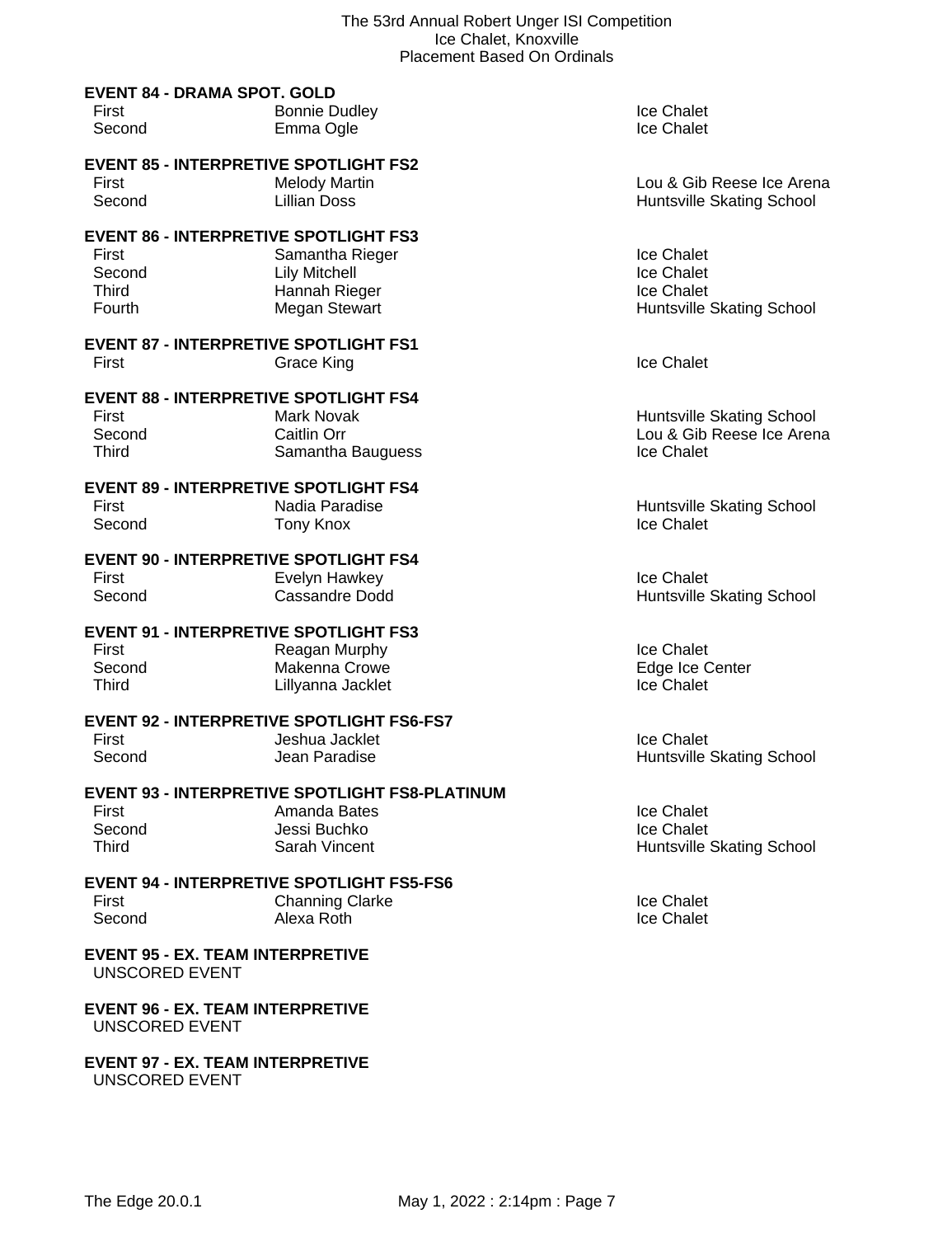|                                                           | <b>Placement Based On Ordinals</b>                    |                                  |
|-----------------------------------------------------------|-------------------------------------------------------|----------------------------------|
| <b>EVENT 84 - DRAMA SPOT. GOLD</b><br>First               | <b>Bonnie Dudley</b>                                  | Ice Chalet                       |
| Second                                                    | Emma Ogle                                             | <b>Ice Chalet</b>                |
| <b>EVENT 85 - INTERPRETIVE SPOTLIGHT FS2</b>              |                                                       |                                  |
| First                                                     | <b>Melody Martin</b>                                  | Lou & Gib Reese Ice Arena        |
| Second                                                    | <b>Lillian Doss</b>                                   | Huntsville Skating School        |
| <b>EVENT 86 - INTERPRETIVE SPOTLIGHT FS3</b>              |                                                       |                                  |
| First                                                     | Samantha Rieger                                       | Ice Chalet                       |
| Second                                                    | <b>Lily Mitchell</b>                                  | Ice Chalet                       |
| Third                                                     | Hannah Rieger                                         | Ice Chalet                       |
| Fourth                                                    | Megan Stewart                                         | Huntsville Skating School        |
| <b>EVENT 87 - INTERPRETIVE SPOTLIGHT FS1</b>              |                                                       |                                  |
| First                                                     | <b>Grace King</b>                                     | <b>Ice Chalet</b>                |
| <b>EVENT 88 - INTERPRETIVE SPOTLIGHT FS4</b>              |                                                       |                                  |
| First                                                     | Mark Novak                                            | Huntsville Skating School        |
| Second                                                    | Caitlin Orr                                           | Lou & Gib Reese Ice Arena        |
| Third                                                     | Samantha Bauguess                                     | Ice Chalet                       |
| <b>EVENT 89 - INTERPRETIVE SPOTLIGHT FS4</b>              |                                                       |                                  |
| First                                                     | Nadia Paradise                                        | Huntsville Skating School        |
| Second                                                    | <b>Tony Knox</b>                                      | Ice Chalet                       |
| <b>EVENT 90 - INTERPRETIVE SPOTLIGHT FS4</b>              |                                                       |                                  |
| First                                                     | Evelyn Hawkey                                         | Ice Chalet                       |
| Second                                                    | Cassandre Dodd                                        | Huntsville Skating School        |
| <b>EVENT 91 - INTERPRETIVE SPOTLIGHT FS3</b>              |                                                       |                                  |
| First                                                     | Reagan Murphy                                         | Ice Chalet                       |
| Second                                                    | Makenna Crowe                                         | Edge Ice Center                  |
| Third                                                     | Lillyanna Jacklet                                     | Ice Chalet                       |
|                                                           | <b>EVENT 92 - INTERPRETIVE SPOTLIGHT FS6-FS7</b>      |                                  |
| First                                                     | Jeshua Jacklet                                        | Ice Chalet                       |
| Second                                                    | Jean Paradise                                         | <b>Huntsville Skating School</b> |
|                                                           | <b>EVENT 93 - INTERPRETIVE SPOTLIGHT FS8-PLATINUM</b> |                                  |
| First                                                     | Amanda Bates                                          | Ice Chalet                       |
| Second                                                    | Jessi Buchko                                          | Ice Chalet                       |
| <b>Third</b>                                              | Sarah Vincent                                         | Huntsville Skating School        |
|                                                           | <b>EVENT 94 - INTERPRETIVE SPOTLIGHT FS5-FS6</b>      |                                  |
| First                                                     | <b>Channing Clarke</b>                                | Ice Chalet                       |
| Second                                                    | Alexa Roth                                            | Ice Chalet                       |
| <b>EVENT 95 - EX. TEAM INTERPRETIVE</b><br>UNSCORED EVENT |                                                       |                                  |

UNSCORED EVENT

UNSCORED EVENT

**EVENT 96 - EX. TEAM INTERPRETIVE**

**EVENT 97 - EX. TEAM INTERPRETIVE**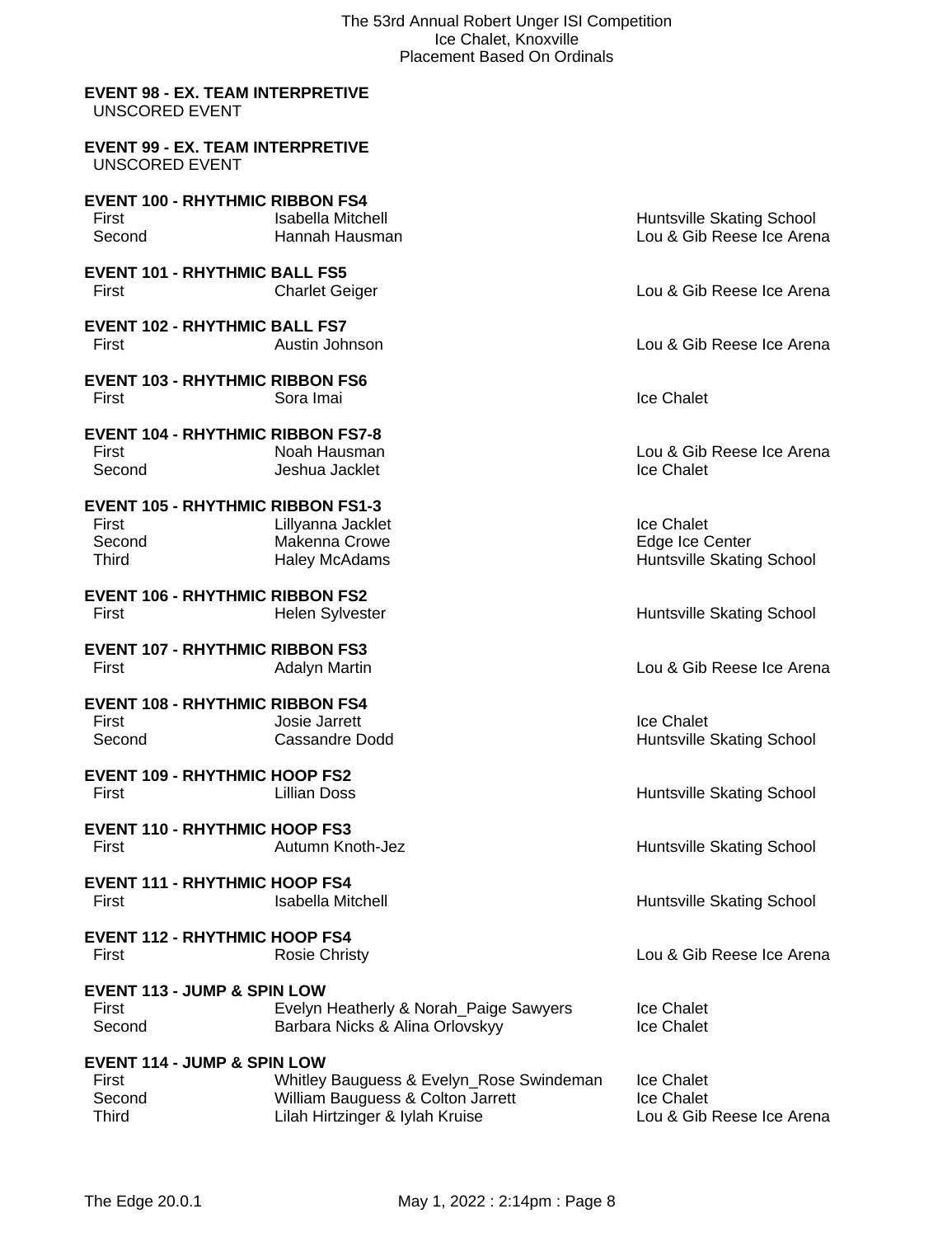#### **EVENT 98 - EX. TEAM INTERPRETIVE** UNSCORED EVENT

#### **EVENT 99 - EX. TEAM INTERPRETIVE** UNSCORED EVENT

| <b>EVENT 100 - RHYTHMIC RIBBON FS4</b><br>First<br>Second                   | <b>Isabella Mitchell</b><br>Hannah Hausman                                                                       | Huntsville Skating School<br>Lou & Gib Reese Ice Arena       |
|-----------------------------------------------------------------------------|------------------------------------------------------------------------------------------------------------------|--------------------------------------------------------------|
| <b>EVENT 101 - RHYTHMIC BALL FS5</b><br>First                               | <b>Charlet Geiger</b>                                                                                            | Lou & Gib Reese Ice Arena                                    |
| <b>EVENT 102 - RHYTHMIC BALL FS7</b><br>First                               | Austin Johnson                                                                                                   | Lou & Gib Reese Ice Arena                                    |
| <b>EVENT 103 - RHYTHMIC RIBBON FS6</b><br>First                             | Sora Imai                                                                                                        | <b>Ice Chalet</b>                                            |
| <b>EVENT 104 - RHYTHMIC RIBBON FS7-8</b><br>First<br>Second                 | Noah Hausman<br>Jeshua Jacklet                                                                                   | Lou & Gib Reese Ice Arena<br>Ice Chalet                      |
| <b>EVENT 105 - RHYTHMIC RIBBON FS1-3</b><br>First<br>Second<br><b>Third</b> | Lillyanna Jacklet<br>Makenna Crowe<br><b>Haley McAdams</b>                                                       | Ice Chalet<br>Edge Ice Center<br>Huntsville Skating School   |
| <b>EVENT 106 - RHYTHMIC RIBBON FS2</b><br>First                             | <b>Helen Sylvester</b>                                                                                           | Huntsville Skating School                                    |
| <b>EVENT 107 - RHYTHMIC RIBBON FS3</b><br>First                             | <b>Adalyn Martin</b>                                                                                             | Lou & Gib Reese Ice Arena                                    |
| <b>EVENT 108 - RHYTHMIC RIBBON FS4</b><br>First<br>Second                   | Josie Jarrett<br>Cassandre Dodd                                                                                  | Ice Chalet<br>Huntsville Skating School                      |
| <b>EVENT 109 - RHYTHMIC HOOP FS2</b><br>First                               | <b>Lillian Doss</b>                                                                                              | Huntsville Skating School                                    |
| <b>EVENT 110 - RHYTHMIC HOOP FS3</b><br>First                               | Autumn Knoth-Jez                                                                                                 | Huntsville Skating School                                    |
| <b>EVENT 111 - RHYTHMIC HOOP FS4</b><br>First                               | <b>Isabella Mitchell</b>                                                                                         | Huntsville Skating School                                    |
| <b>EVENT 112 - RHYTHMIC HOOP FS4</b><br>First                               | <b>Rosie Christy</b>                                                                                             | Lou & Gib Reese Ice Arena                                    |
| <b>EVENT 113 - JUMP &amp; SPIN LOW</b><br>First<br>Second                   | Evelyn Heatherly & Norah_Paige Sawyers<br>Barbara Nicks & Alina Orlovskyy                                        | Ice Chalet<br>Ice Chalet                                     |
| <b>EVENT 114 - JUMP &amp; SPIN LOW</b><br>First<br>Second<br><b>Third</b>   | Whitley Bauguess & Evelyn_Rose Swindeman<br>William Bauguess & Colton Jarrett<br>Lilah Hirtzinger & Iylah Kruise | <b>Ice Chalet</b><br>Ice Chalet<br>Lou & Gib Reese Ice Arena |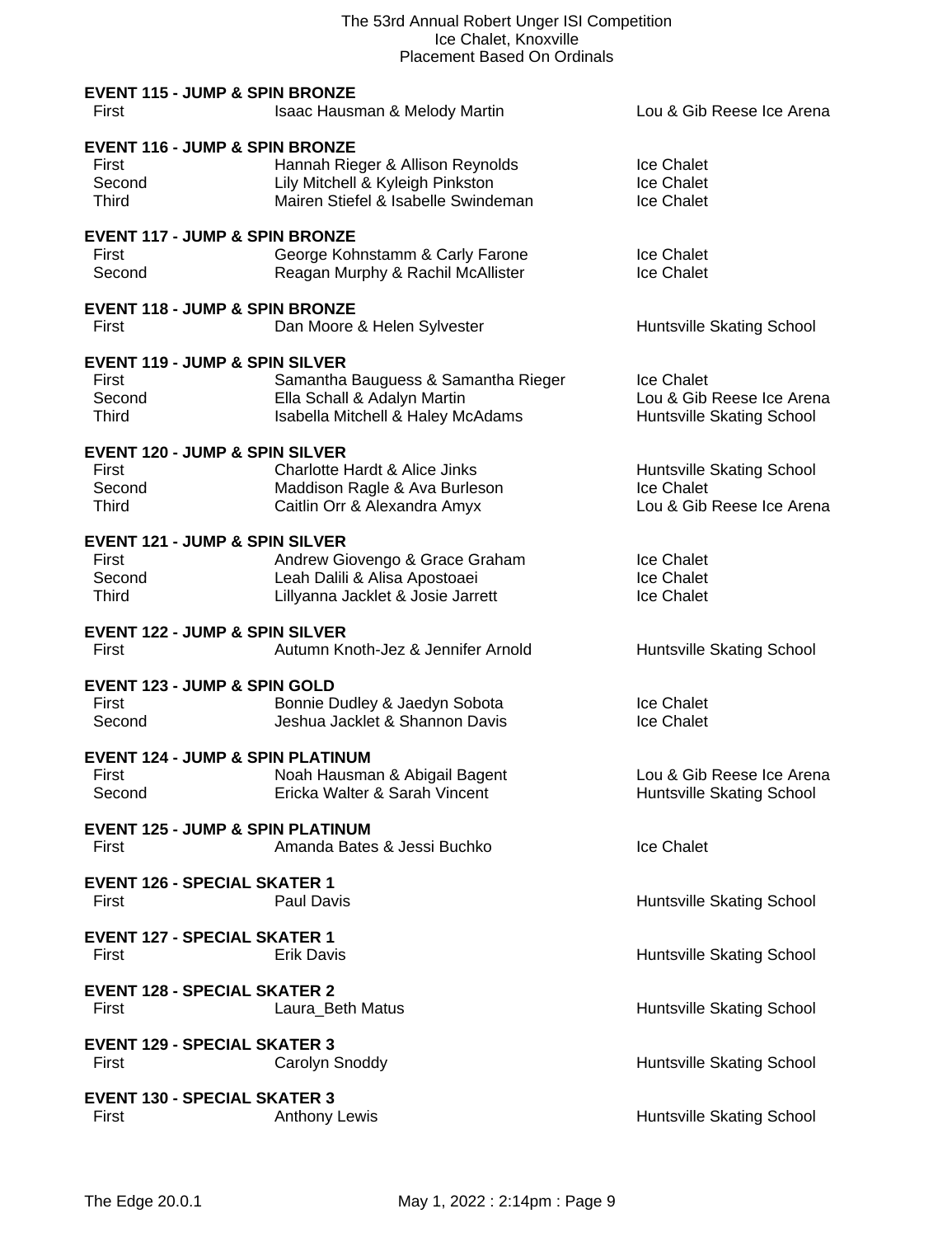| <b>EVENT 115 - JUMP &amp; SPIN BRONZE</b><br>First                           | Isaac Hausman & Melody Martin                                                                               | Lou & Gib Reese Ice Arena                                            |
|------------------------------------------------------------------------------|-------------------------------------------------------------------------------------------------------------|----------------------------------------------------------------------|
| <b>EVENT 116 - JUMP &amp; SPIN BRONZE</b><br>First<br>Second<br><b>Third</b> | Hannah Rieger & Allison Reynolds<br>Lily Mitchell & Kyleigh Pinkston<br>Mairen Stiefel & Isabelle Swindeman | Ice Chalet<br>Ice Chalet<br>Ice Chalet                               |
| <b>EVENT 117 - JUMP &amp; SPIN BRONZE</b><br>First<br>Second                 | George Kohnstamm & Carly Farone<br>Reagan Murphy & Rachil McAllister                                        | Ice Chalet<br>Ice Chalet                                             |
| <b>EVENT 118 - JUMP &amp; SPIN BRONZE</b><br>First                           | Dan Moore & Helen Sylvester                                                                                 | Huntsville Skating School                                            |
| <b>EVENT 119 - JUMP &amp; SPIN SILVER</b><br>First<br>Second<br>Third        | Samantha Bauguess & Samantha Rieger<br>Ella Schall & Adalyn Martin<br>Isabella Mitchell & Haley McAdams     | Ice Chalet<br>Lou & Gib Reese Ice Arena<br>Huntsville Skating School |
| <b>EVENT 120 - JUMP &amp; SPIN SILVER</b><br>First<br>Second<br><b>Third</b> | Charlotte Hardt & Alice Jinks<br>Maddison Ragle & Ava Burleson<br>Caitlin Orr & Alexandra Amyx              | Huntsville Skating School<br>Ice Chalet<br>Lou & Gib Reese Ice Arena |
| <b>EVENT 121 - JUMP &amp; SPIN SILVER</b><br>First<br>Second<br>Third        | Andrew Giovengo & Grace Graham<br>Leah Dalili & Alisa Apostoaei<br>Lillyanna Jacklet & Josie Jarrett        | Ice Chalet<br>Ice Chalet<br>Ice Chalet                               |
| <b>EVENT 122 - JUMP &amp; SPIN SILVER</b><br>First                           | Autumn Knoth-Jez & Jennifer Arnold                                                                          | Huntsville Skating School                                            |
| <b>EVENT 123 - JUMP &amp; SPIN GOLD</b><br><b>First</b><br>Second            | Bonnie Dudley & Jaedyn Sobota<br>Jeshua Jacklet & Shannon Davis                                             | Ice Chalet<br>Ice Chalet                                             |
| <b>EVENT 124 - JUMP &amp; SPIN PLATINUM</b><br>First<br>Second               | Noah Hausman & Abigail Bagent<br>Ericka Walter & Sarah Vincent                                              | Lou & Gib Reese Ice Arena<br>Huntsville Skating School               |
| <b>EVENT 125 - JUMP &amp; SPIN PLATINUM</b><br>First                         | Amanda Bates & Jessi Buchko                                                                                 | <b>Ice Chalet</b>                                                    |
| <b>EVENT 126 - SPECIAL SKATER 1</b><br>First                                 | Paul Davis                                                                                                  | Huntsville Skating School                                            |
| <b>EVENT 127 - SPECIAL SKATER 1</b><br>First                                 | <b>Erik Davis</b>                                                                                           | Huntsville Skating School                                            |
| <b>EVENT 128 - SPECIAL SKATER 2</b><br>First                                 | Laura_Beth Matus                                                                                            | Huntsville Skating School                                            |
| <b>EVENT 129 - SPECIAL SKATER 3</b><br>First                                 | Carolyn Snoddy                                                                                              | Huntsville Skating School                                            |
| <b>EVENT 130 - SPECIAL SKATER 3</b><br>First                                 | <b>Anthony Lewis</b>                                                                                        | Huntsville Skating School                                            |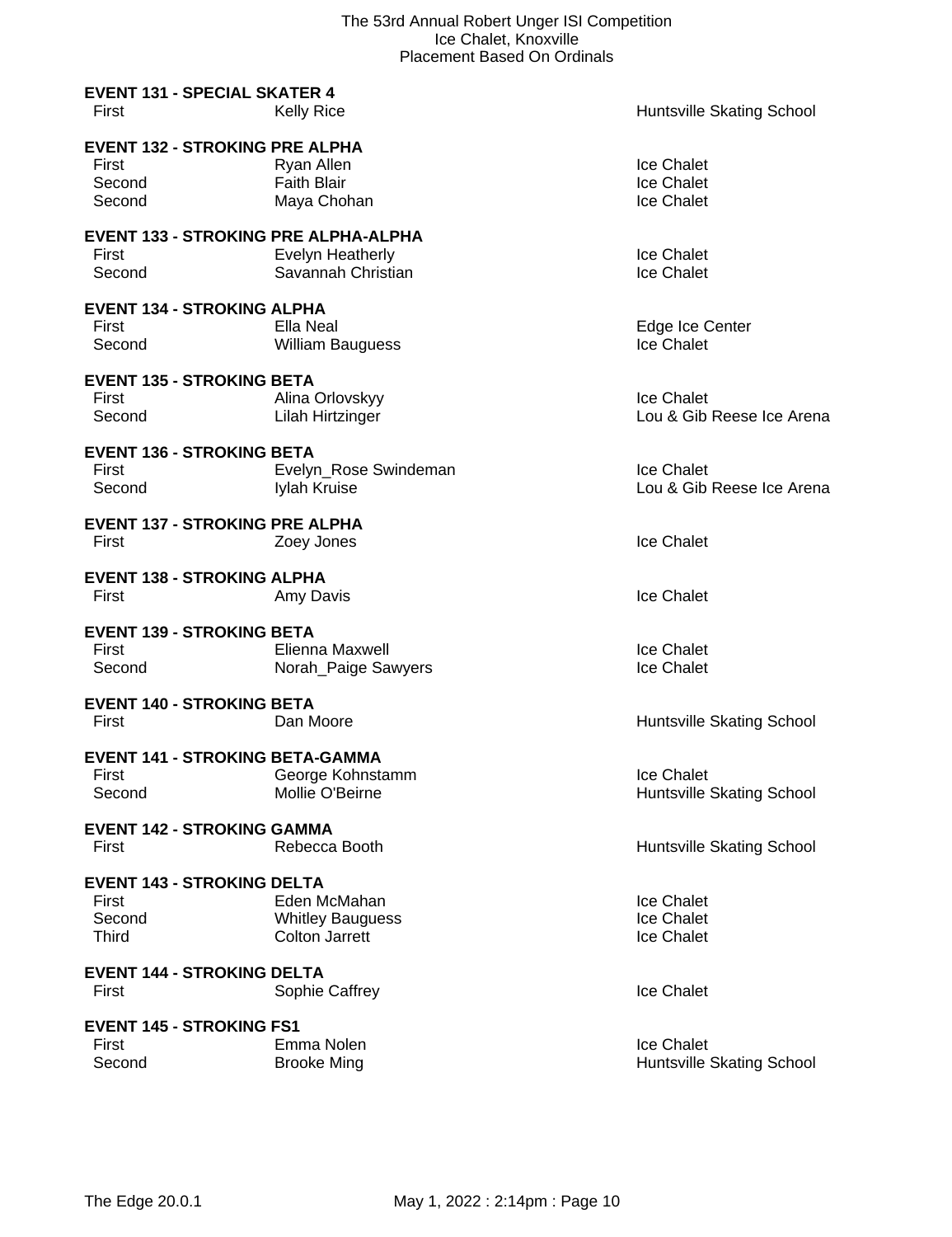|                                                                      | r iacenieni paseg On Orginais                                    |                                         |
|----------------------------------------------------------------------|------------------------------------------------------------------|-----------------------------------------|
| <b>EVENT 131 - SPECIAL SKATER 4</b><br>First                         | <b>Kelly Rice</b>                                                | Huntsville Skating School               |
| <b>EVENT 132 - STROKING PRE ALPHA</b><br>First<br>Second<br>Second   | Ryan Allen<br><b>Faith Blair</b><br>Maya Chohan                  | Ice Chalet<br>Ice Chalet<br>Ice Chalet  |
| <b>EVENT 133 - STROKING PRE ALPHA-ALPHA</b><br>First<br>Second       | Evelyn Heatherly<br>Savannah Christian                           | Ice Chalet<br>Ice Chalet                |
| <b>EVENT 134 - STROKING ALPHA</b><br>First<br>Second                 | Ella Neal<br><b>William Bauguess</b>                             | Edge Ice Center<br>Ice Chalet           |
| <b>EVENT 135 - STROKING BETA</b><br>First<br>Second                  | Alina Orlovskyy<br>Lilah Hirtzinger                              | Ice Chalet<br>Lou & Gib Reese Ice Arena |
| <b>EVENT 136 - STROKING BETA</b><br>First<br>Second                  | Evelyn_Rose Swindeman<br>Iylah Kruise                            | Ice Chalet<br>Lou & Gib Reese Ice Arena |
| <b>EVENT 137 - STROKING PRE ALPHA</b><br>First                       | Zoey Jones                                                       | Ice Chalet                              |
| <b>EVENT 138 - STROKING ALPHA</b><br>First                           | Amy Davis                                                        | Ice Chalet                              |
| <b>EVENT 139 - STROKING BETA</b><br>First<br>Second                  | Elienna Maxwell<br>Norah_Paige Sawyers                           | Ice Chalet<br>Ice Chalet                |
| <b>EVENT 140 - STROKING BETA</b><br>First                            | Dan Moore                                                        | Huntsville Skating School               |
| <b>EVENT 141 - STROKING BETA-GAMMA</b><br>First<br>Second            | George Kohnstamm<br>Mollie O'Beirne                              | Ice Chalet<br>Huntsville Skating School |
| <b>EVENT 142 - STROKING GAMMA</b><br>First                           | Rebecca Booth                                                    | Huntsville Skating School               |
| <b>EVENT 143 - STROKING DELTA</b><br>First<br>Second<br><b>Third</b> | Eden McMahan<br><b>Whitley Bauguess</b><br><b>Colton Jarrett</b> | Ice Chalet<br>Ice Chalet<br>Ice Chalet  |
| <b>EVENT 144 - STROKING DELTA</b><br>First                           | Sophie Caffrey                                                   | <b>Ice Chalet</b>                       |
| <b>EVENT 145 - STROKING FS1</b><br>First<br>Second                   | Emma Nolen<br><b>Brooke Ming</b>                                 | Ice Chalet<br>Huntsville Skating School |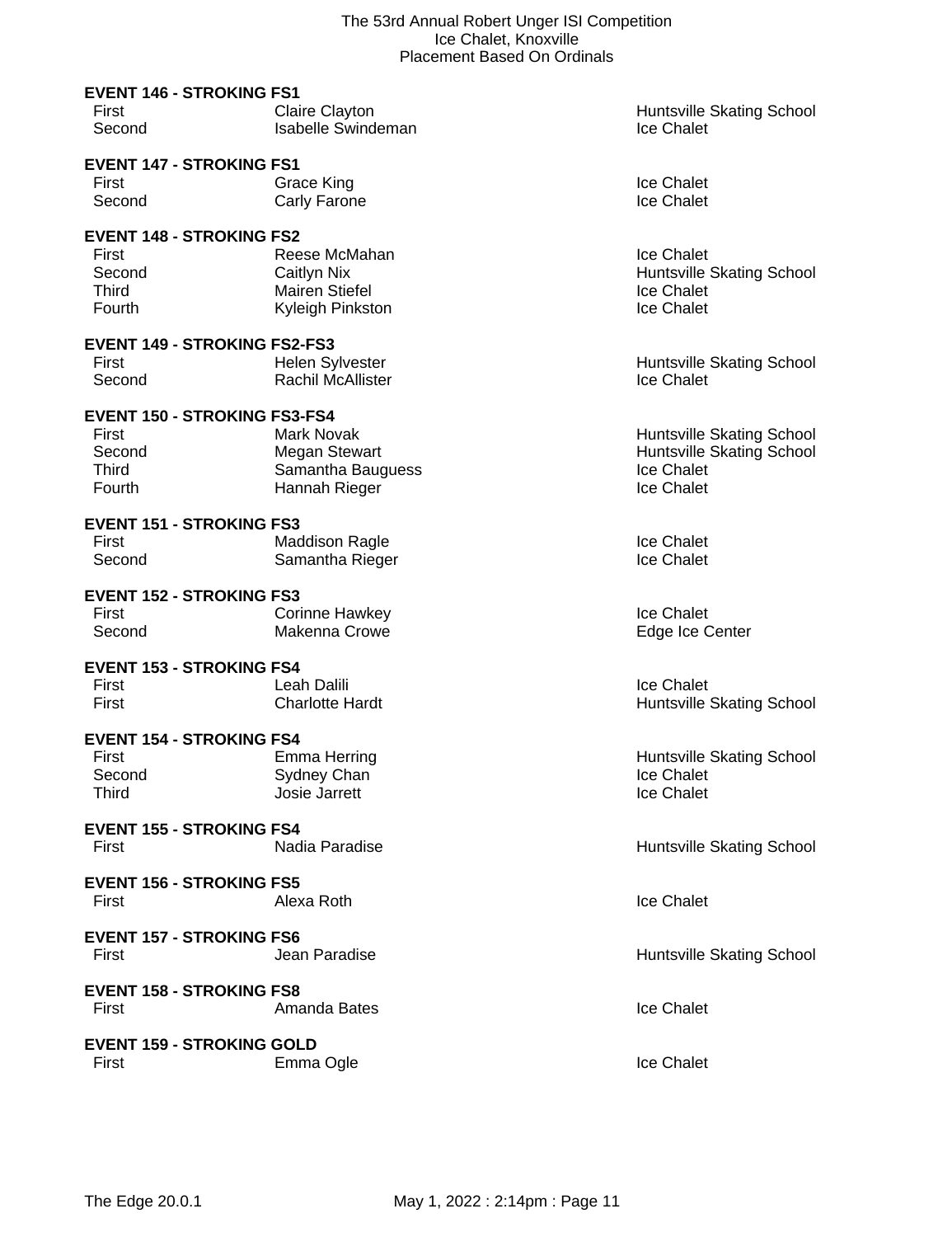| <b>EVENT 146 - STROKING FS1</b>          |                                             |                                         |
|------------------------------------------|---------------------------------------------|-----------------------------------------|
| First                                    | Claire Clayton                              | Huntsville Skating School               |
| Second                                   | <b>Isabelle Swindeman</b>                   | Ice Chalet                              |
| <b>EVENT 147 - STROKING FS1</b>          |                                             |                                         |
| First                                    | <b>Grace King</b>                           | Ice Chalet                              |
| Second                                   | Carly Farone                                | Ice Chalet                              |
|                                          |                                             |                                         |
| <b>EVENT 148 - STROKING FS2</b>          |                                             |                                         |
| First                                    | Reese McMahan                               | Ice Chalet                              |
| Second<br><b>Third</b>                   | <b>Caitlyn Nix</b><br><b>Mairen Stiefel</b> | Huntsville Skating School<br>Ice Chalet |
| Fourth                                   | Kyleigh Pinkston                            | Ice Chalet                              |
|                                          |                                             |                                         |
| <b>EVENT 149 - STROKING FS2-FS3</b>      |                                             |                                         |
| First                                    | Helen Sylvester                             | <b>Huntsville Skating School</b>        |
| Second                                   | <b>Rachil McAllister</b>                    | Ice Chalet                              |
| <b>EVENT 150 - STROKING FS3-FS4</b>      |                                             |                                         |
| First                                    | Mark Novak                                  | <b>Huntsville Skating School</b>        |
| Second                                   | <b>Megan Stewart</b>                        | Huntsville Skating School               |
| Third                                    | Samantha Bauguess                           | Ice Chalet                              |
| Fourth                                   | Hannah Rieger                               | Ice Chalet                              |
| <b>EVENT 151 - STROKING FS3</b>          |                                             |                                         |
| First                                    | <b>Maddison Ragle</b>                       | Ice Chalet                              |
| Second                                   | Samantha Rieger                             | Ice Chalet                              |
| <b>EVENT 152 - STROKING FS3</b>          |                                             |                                         |
| First                                    | <b>Corinne Hawkey</b>                       | Ice Chalet                              |
| Second                                   | Makenna Crowe                               | Edge Ice Center                         |
|                                          |                                             |                                         |
| <b>EVENT 153 - STROKING FS4</b><br>First | Leah Dalili                                 | Ice Chalet                              |
| First                                    | <b>Charlotte Hardt</b>                      |                                         |
|                                          |                                             | <b>Huntsville Skating School</b>        |
| <b>EVENT 154 - STROKING FS4</b>          |                                             |                                         |
| First                                    | Emma Herring                                | Huntsville Skating School               |
| Second                                   | Sydney Chan                                 | Ice Chalet                              |
| Third                                    | Josie Jarrett                               | Ice Chalet                              |
| <b>EVENT 155 - STROKING FS4</b>          |                                             |                                         |
| First                                    | Nadia Paradise                              | Huntsville Skating School               |
| <b>EVENT 156 - STROKING FS5</b>          |                                             |                                         |
| First                                    | Alexa Roth                                  | <b>Ice Chalet</b>                       |
|                                          |                                             |                                         |
| <b>EVENT 157 - STROKING FS6</b>          |                                             |                                         |
| First                                    | Jean Paradise                               | Huntsville Skating School               |
| <b>EVENT 158 - STROKING FS8</b>          |                                             |                                         |
| First                                    | Amanda Bates                                | Ice Chalet                              |
|                                          |                                             |                                         |
| <b>EVENT 159 - STROKING GOLD</b>         |                                             |                                         |
| First                                    | Emma Ogle                                   | Ice Chalet                              |
|                                          |                                             |                                         |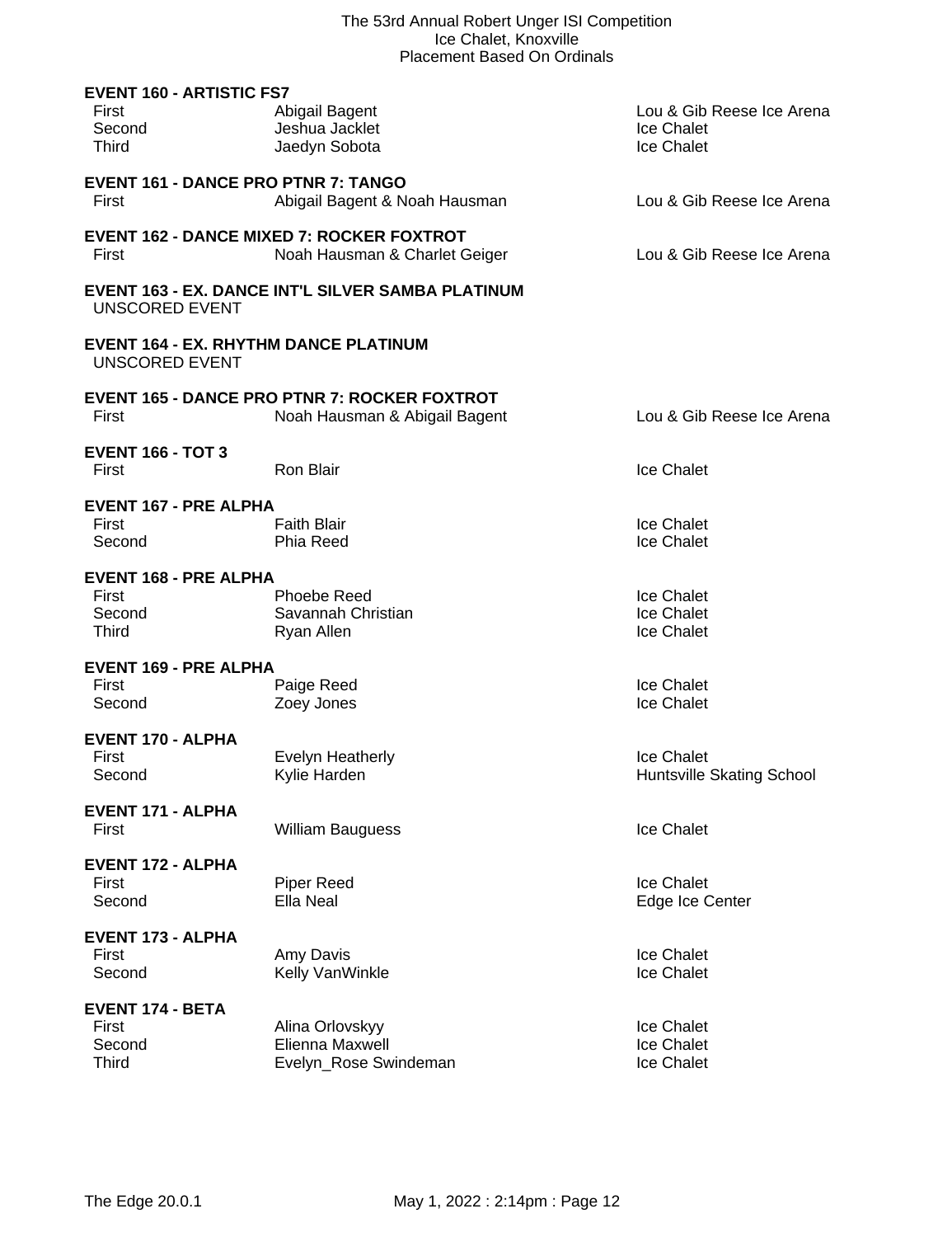| <b>EVENT 160 - ARTISTIC FS7</b><br>First<br>Second<br><b>Third</b>    | Abigail Bagent<br>Jeshua Jacklet<br>Jaedyn Sobota                                    | Lou & Gib Reese Ice Arena<br>Ice Chalet<br>Ice Chalet |
|-----------------------------------------------------------------------|--------------------------------------------------------------------------------------|-------------------------------------------------------|
| <b>EVENT 161 - DANCE PRO PTNR 7: TANGO</b><br>First                   | Abigail Bagent & Noah Hausman                                                        | Lou & Gib Reese Ice Arena                             |
| First                                                                 | <b>EVENT 162 - DANCE MIXED 7: ROCKER FOXTROT</b><br>Noah Hausman & Charlet Geiger    | Lou & Gib Reese Ice Arena                             |
| <b>UNSCORED EVENT</b>                                                 | <b>EVENT 163 - EX. DANCE INT'L SILVER SAMBA PLATINUM</b>                             |                                                       |
| <b>EVENT 164 - EX. RHYTHM DANCE PLATINUM</b><br><b>UNSCORED EVENT</b> |                                                                                      |                                                       |
| First                                                                 | <b>EVENT 165 - DANCE PRO PTNR 7: ROCKER FOXTROT</b><br>Noah Hausman & Abigail Bagent | Lou & Gib Reese Ice Arena                             |
| <b>EVENT 166 - TOT 3</b><br>First                                     | Ron Blair                                                                            | Ice Chalet                                            |
| <b>EVENT 167 - PRE ALPHA</b><br>First<br>Second                       | <b>Faith Blair</b><br>Phia Reed                                                      | Ice Chalet<br>Ice Chalet                              |
| <b>EVENT 168 - PRE ALPHA</b><br>First<br>Second<br>Third              | <b>Phoebe Reed</b><br>Savannah Christian<br>Ryan Allen                               | Ice Chalet<br>Ice Chalet<br>Ice Chalet                |
| <b>EVENT 169 - PRE ALPHA</b><br>First<br>Second                       | Paige Reed<br>Zoey Jones                                                             | Ice Chalet<br>Ice Chalet                              |
| <b>EVENT 170 - ALPHA</b><br>First<br>Second                           | <b>Evelyn Heatherly</b><br>Kylie Harden                                              | Ice Chalet<br>Huntsville Skating School               |
| <b>EVENT 171 - ALPHA</b><br>First                                     | <b>William Bauguess</b>                                                              | Ice Chalet                                            |
| <b>EVENT 172 - ALPHA</b><br>First<br>Second                           | Piper Reed<br>Ella Neal                                                              | Ice Chalet<br>Edge Ice Center                         |
| <b>EVENT 173 - ALPHA</b><br>First<br>Second                           | Amy Davis<br>Kelly VanWinkle                                                         | Ice Chalet<br>Ice Chalet                              |
| <b>EVENT 174 - BETA</b><br>First<br>Second<br><b>Third</b>            | Alina Orlovskyy<br>Elienna Maxwell<br>Evelyn_Rose Swindeman                          | Ice Chalet<br>Ice Chalet<br>Ice Chalet                |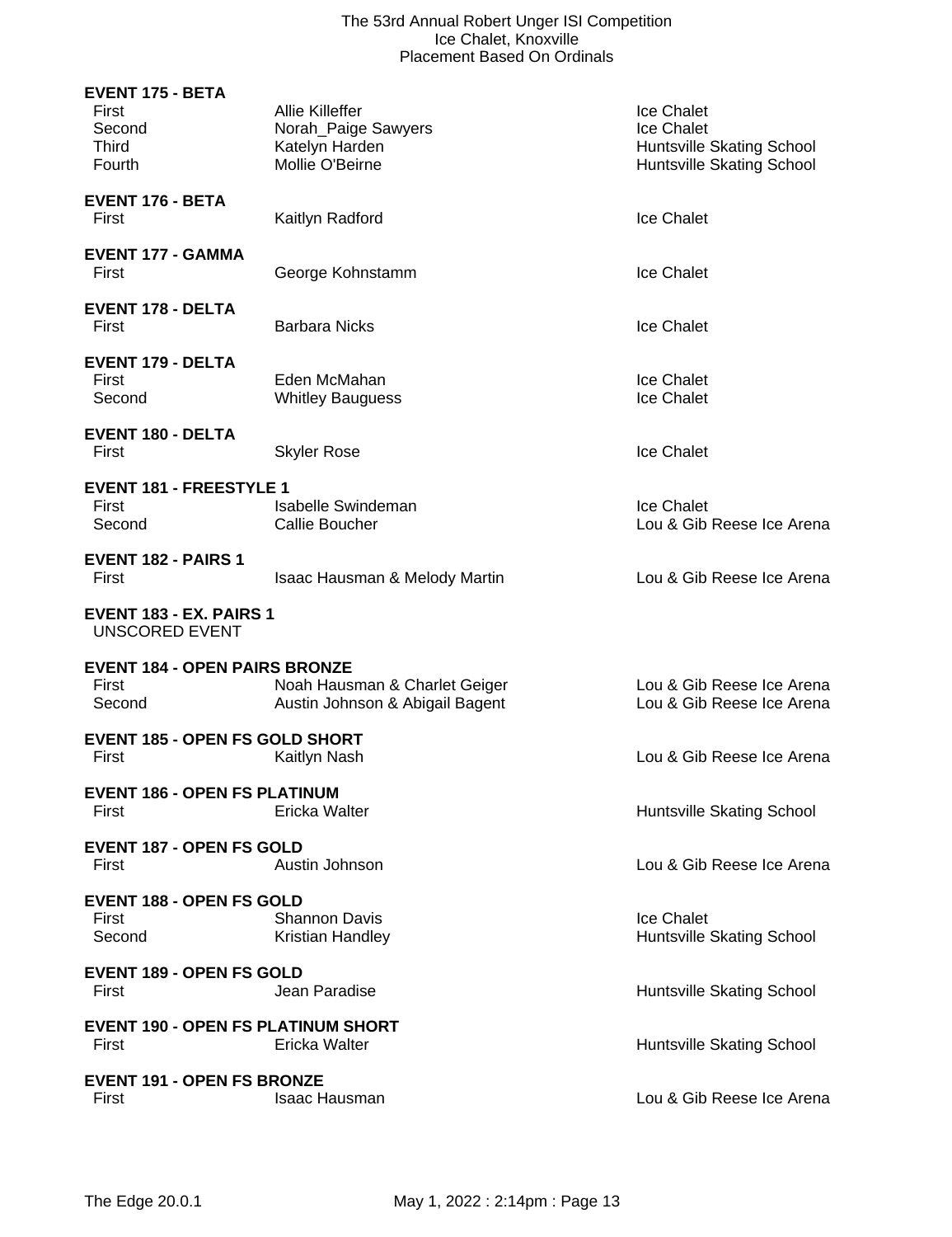## The 53rd Annual Robert Unger ISI Competition Ice Chalet, Knoxville Placement Based On Ordinals

| <b>EVENT 175 - BETA</b><br>First<br>Second<br><b>Third</b><br>Fourth | Allie Killeffer<br>Norah_Paige Sawyers<br>Katelyn Harden<br>Mollie O'Beirne | Ice Chalet<br>Ice Chalet<br>Huntsville Skating School<br>Huntsville Skating School |
|----------------------------------------------------------------------|-----------------------------------------------------------------------------|------------------------------------------------------------------------------------|
| EVENT 176 - BETA<br>First                                            | Kaitlyn Radford                                                             | <b>Ice Chalet</b>                                                                  |
| <b>EVENT 177 - GAMMA</b><br>First                                    | George Kohnstamm                                                            | Ice Chalet                                                                         |
| <b>EVENT 178 - DELTA</b><br>First                                    | <b>Barbara Nicks</b>                                                        | <b>Ice Chalet</b>                                                                  |
| <b>EVENT 179 - DELTA</b><br>First<br>Second                          | Eden McMahan<br><b>Whitley Bauguess</b>                                     | Ice Chalet<br>Ice Chalet                                                           |
| <b>EVENT 180 - DELTA</b><br>First                                    | <b>Skyler Rose</b>                                                          | Ice Chalet                                                                         |
| <b>EVENT 181 - FREESTYLE 1</b><br>First<br>Second                    | Isabelle Swindeman<br>Callie Boucher                                        | Ice Chalet<br>Lou & Gib Reese Ice Arena                                            |
| <b>EVENT 182 - PAIRS 1</b><br>First                                  | <b>Isaac Hausman &amp; Melody Martin</b>                                    | Lou & Gib Reese Ice Arena                                                          |
| <b>EVENT 183 - EX. PAIRS 1</b><br><b>UNSCORED EVENT</b>              |                                                                             |                                                                                    |
| <b>EVENT 184 - OPEN PAIRS BRONZE</b><br>First<br>Second              | Noah Hausman & Charlet Geiger<br>Austin Johnson & Abigail Bagent            | Lou & Gib Reese Ice Arena<br>Lou & Gib Reese Ice Arena                             |
| <b>EVENT 185 - OPEN FS GOLD SHORT</b><br>First                       | Kaitlyn Nash                                                                | Lou & Gib Reese Ice Arena                                                          |
| <b>EVENT 186 - OPEN FS PLATINUM</b><br>First                         | Ericka Walter                                                               | Huntsville Skating School                                                          |
| <b>EVENT 187 - OPEN FS GOLD</b><br>First                             | Austin Johnson                                                              | Lou & Gib Reese Ice Arena                                                          |
| <b>EVENT 188 - OPEN FS GOLD</b><br>First<br>Second                   | <b>Shannon Davis</b><br>Kristian Handley                                    | <b>Ice Chalet</b><br>Huntsville Skating School                                     |
| <b>EVENT 189 - OPEN FS GOLD</b><br>First                             | Jean Paradise                                                               | Huntsville Skating School                                                          |
| <b>EVENT 190 - OPEN FS PLATINUM SHORT</b><br>First                   | Ericka Walter                                                               | Huntsville Skating School                                                          |
| <b>EVENT 191 - OPEN FS BRONZE</b><br>First                           | Isaac Hausman                                                               | Lou & Gib Reese Ice Arena                                                          |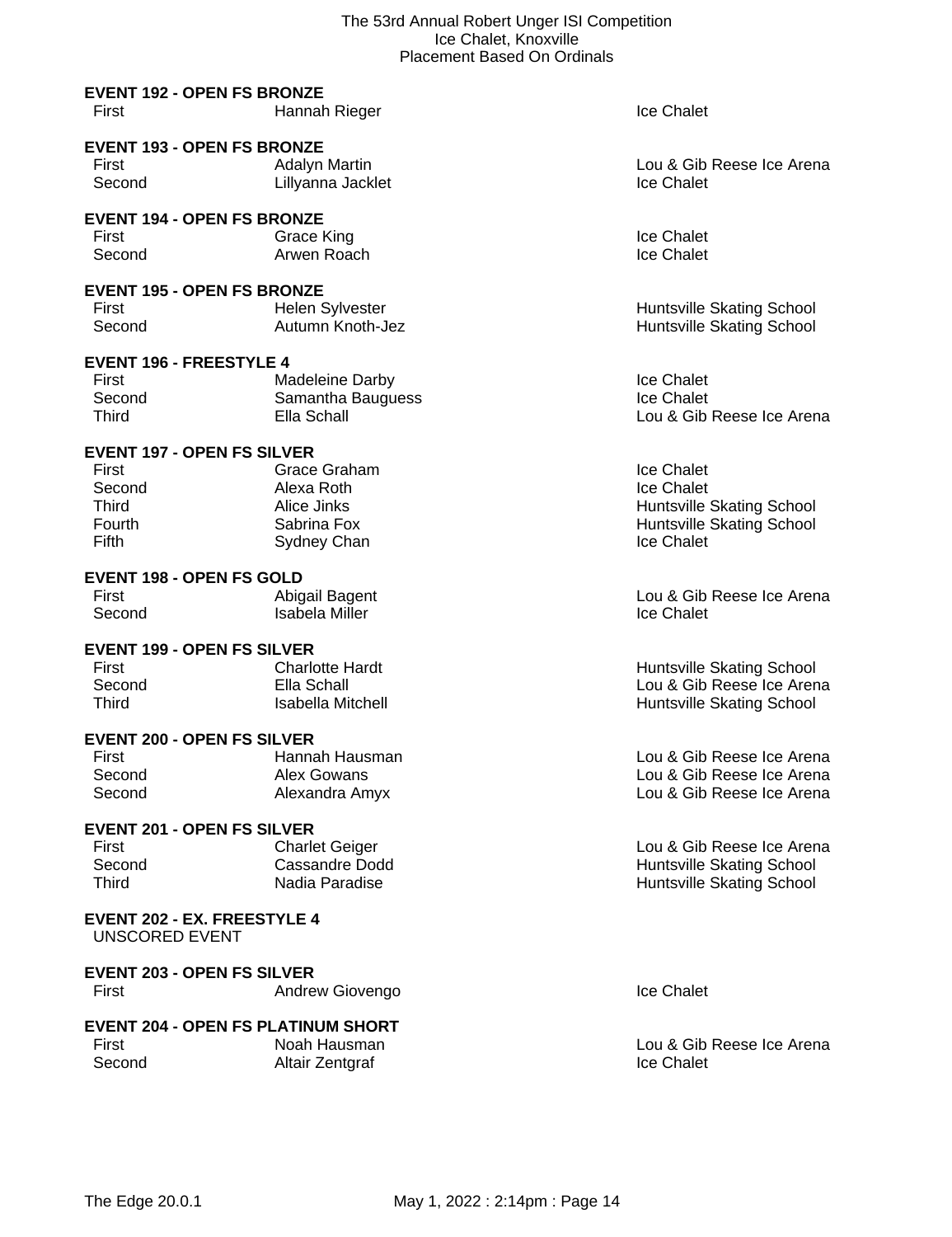# **EVENT 192 - OPEN FS BRONZE**

| First<br>Hannah Rieger | <b>Ice Chalet</b> |
|------------------------|-------------------|
|------------------------|-------------------|

# **EVENT 193 - OPEN FS BRONZE**

| First  | Adalyn Martin     | Lou & Gib         |
|--------|-------------------|-------------------|
| Second | Lillyanna Jacklet | <b>Ice Chalet</b> |

#### **EVENT 194 - OPEN FS BRONZE**

First Crace King Crace Communications and the Chalet Second Arwen Roach Crace Chalet Crace Chalet Creater and Arwen Roach Creater Creater and Trender Creater and Trender Second Creater Arwen Arwen Creater and Trender Secon Second **Arwen Roach** 

# **EVENT 195 - OPEN FS BRONZE**

First **Helen Sylvester Huntsville Skating School Huntsville Skating School** Second Autumn Knoth-Jez Huntsville Skating School

# **EVENT 196 - FREESTYLE 4**

| First  | Madeleine Darby   | <b>Ice Chalet</b> |
|--------|-------------------|-------------------|
| Second | Samantha Bauguess | <b>Ice Chalet</b> |
| Third  | Ella Schall       | Lou & Gib         |

# **EVENT 197 - OPEN FS SILVER**

| First         | Grace Graham | Ice Chalet                       |
|---------------|--------------|----------------------------------|
| Second        | Alexa Roth   | Ice Chalet                       |
| Third         | Alice Jinks  | <b>Huntsville Skating School</b> |
| <b>Fourth</b> | Sabrina Fox  | <b>Huntsville Skating School</b> |
| Fifth         | Sydney Chan  | Ice Chalet                       |
|               |              |                                  |

# **EVENT 198 - OPEN FS GOLD**

| First  | Abigail Bagent | Lou & Gib         |
|--------|----------------|-------------------|
| Second | Isabela Miller | <b>Ice Chalet</b> |

### **EVENT 199 - OPEN FS SILVER**

| First  | <b>Charlotte Hardt</b> |
|--------|------------------------|
| Second | Ella Schall            |
| Third  | Isabella Mitche        |

### **EVENT 200 - OPEN FS SILVER**

| Hannah Hausm  |
|---------------|
| Alex Gowans   |
| Alexandra Amy |
|               |

# **EVENT 201 - OPEN FS SILVER**

| First  | <b>Charlet Geiger</b> |
|--------|-----------------------|
| Second | Cassandre Dodd        |
| Third  | Nadia Paradise        |

#### **EVENT 202 - EX. FREESTYLE 4** UNSCORED EVENT

# **EVENT 203 - OPEN FS SILVER** First **Andrew Giovengo Ice Chalet Ice Chalet**

|        | <b>EVENT 204 - OPEN FS PLATINUM SHORT</b> |                   |
|--------|-------------------------------------------|-------------------|
| First  | Noah Hausman                              | Lou & Gib         |
| Second | Altair Zentgraf                           | <b>Ice Chalet</b> |

Lou & Gib Reese Ice Arena<br>Ice Chalet

Lou & Gib Reese Ice Arena

First Abigail Bagent Lou & Gib Reese Ice Arena

t **First Charlotte Huntsville Skating School** Lou & Gib Reese Ice Arena **Third Islamic Mitchell Huntsville Skating School** 

nan **Hausman Hausman Lou & Gib Reese Ice Arena** Lou & Gib Reese Ice Arena Second Amy Lou & Gib Reese Ice Arena

> Lou & Gib Reese Ice Arena Huntsville Skating School Huntsville Skating School

Lou & Gib Reese Ice Arena<br>Ice Chalet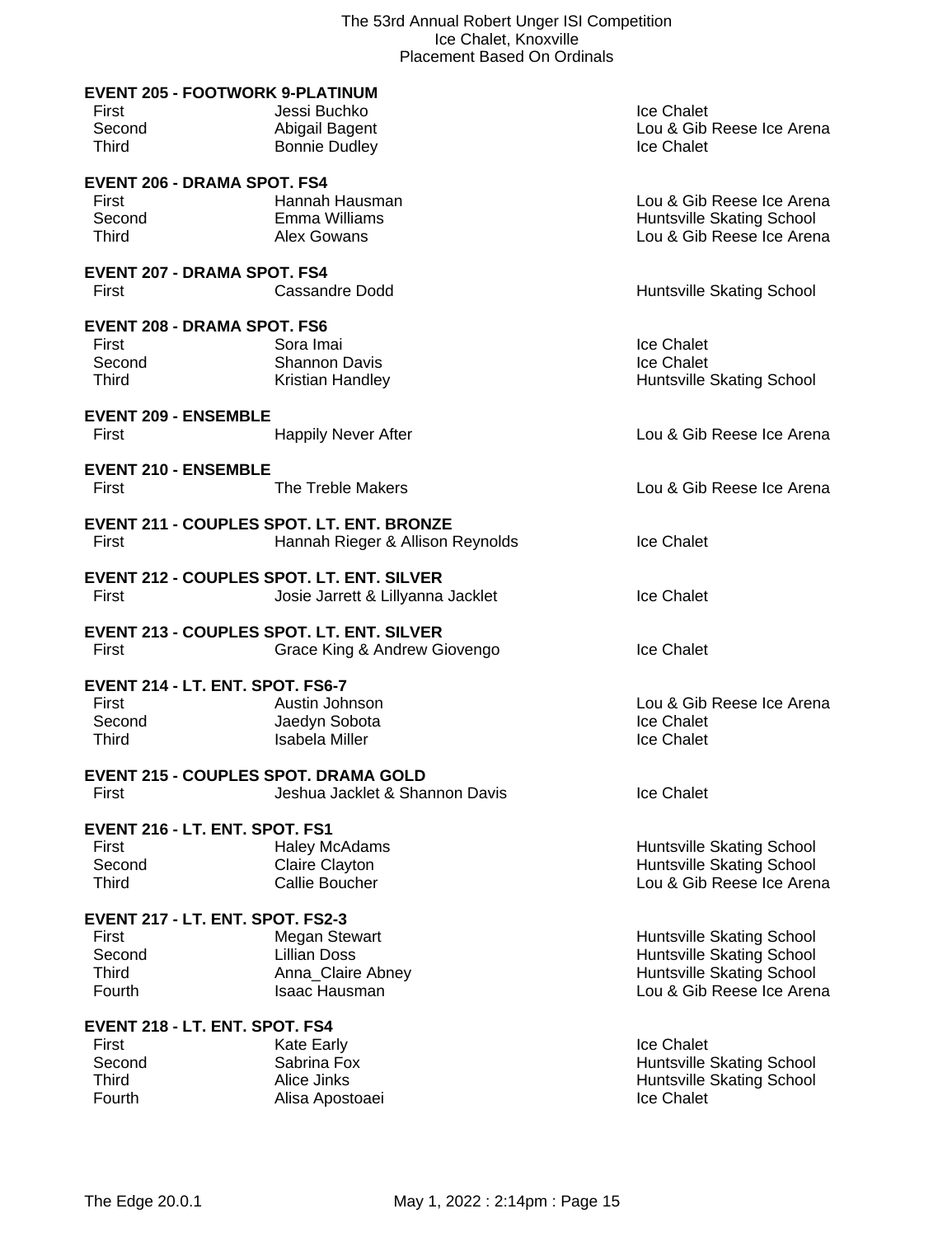|              | <b>EVENT 205 - FOOTWORK 9-PLATINUM</b>           |                           |
|--------------|--------------------------------------------------|---------------------------|
| First        | Jessi Buchko                                     | Ice Chalet                |
| Second       | Abigail Bagent                                   | Lou & Gib Reese Ice Arena |
| <b>Third</b> | <b>Bonnie Dudley</b>                             | Ice Chalet                |
|              | <b>EVENT 206 - DRAMA SPOT. FS4</b>               |                           |
| First        | Hannah Hausman                                   | Lou & Gib Reese Ice Arena |
| Second       | Emma Williams                                    | Huntsville Skating School |
| <b>Third</b> | Alex Gowans                                      | Lou & Gib Reese Ice Arena |
|              | <b>EVENT 207 - DRAMA SPOT. FS4</b>               |                           |
| First        | <b>Cassandre Dodd</b>                            | Huntsville Skating School |
|              |                                                  |                           |
|              | <b>EVENT 208 - DRAMA SPOT. FS6</b>               |                           |
| First        | Sora Imai                                        | Ice Chalet                |
| Second       | <b>Shannon Davis</b>                             | Ice Chalet                |
| <b>Third</b> | Kristian Handley                                 | Huntsville Skating School |
|              | <b>EVENT 209 - ENSEMBLE</b>                      |                           |
| First        | <b>Happily Never After</b>                       | Lou & Gib Reese Ice Arena |
|              | <b>EVENT 210 - ENSEMBLE</b>                      |                           |
| First        | The Treble Makers                                | Lou & Gib Reese Ice Arena |
|              |                                                  |                           |
|              | <b>EVENT 211 - COUPLES SPOT. LT. ENT. BRONZE</b> |                           |
| First        | Hannah Rieger & Allison Reynolds                 | Ice Chalet                |
|              | <b>EVENT 212 - COUPLES SPOT. LT. ENT. SILVER</b> |                           |
| First        | Josie Jarrett & Lillyanna Jacklet                | Ice Chalet                |
|              | <b>EVENT 213 - COUPLES SPOT. LT. ENT. SILVER</b> |                           |
| First        | Grace King & Andrew Giovengo                     | Ice Chalet                |
|              |                                                  |                           |
|              | EVENT 214 - LT. ENT. SPOT. FS6-7                 |                           |
| First        | Austin Johnson                                   | Lou & Gib Reese Ice Arena |
| Second       | Jaedyn Sobota                                    | Ice Chalet                |
| Third        | <b>Isabela Miller</b>                            | Ice Chalet                |
|              | <b>EVENT 215 - COUPLES SPOT. DRAMA GOLD</b>      |                           |
| First        | Jeshua Jacklet & Shannon Davis                   | Ice Chalet                |
|              | EVENT 216 - LT. ENT. SPOT. FS1                   |                           |
| First        | <b>Haley McAdams</b>                             | Huntsville Skating School |
| Second       | Claire Clayton                                   | Huntsville Skating School |
| <b>Third</b> | <b>Callie Boucher</b>                            | Lou & Gib Reese Ice Arena |
|              | EVENT 217 - LT. ENT. SPOT. FS2-3                 |                           |
| First        | <b>Megan Stewart</b>                             | Huntsville Skating School |
| Second       | <b>Lillian Doss</b>                              | Huntsville Skating School |
| <b>Third</b> | Anna_Claire Abney                                | Huntsville Skating School |
| Fourth       | Isaac Hausman                                    | Lou & Gib Reese Ice Arena |
|              |                                                  |                           |
| First        | EVENT 218 - LT. ENT. SPOT. FS4                   | Ice Chalet                |
| Second       | Kate Early<br>Sabrina Fox                        | Huntsville Skating School |
| <b>Third</b> | Alice Jinks                                      | Huntsville Skating School |
| Fourth       | Alisa Apostoaei                                  | Ice Chalet                |
|              |                                                  |                           |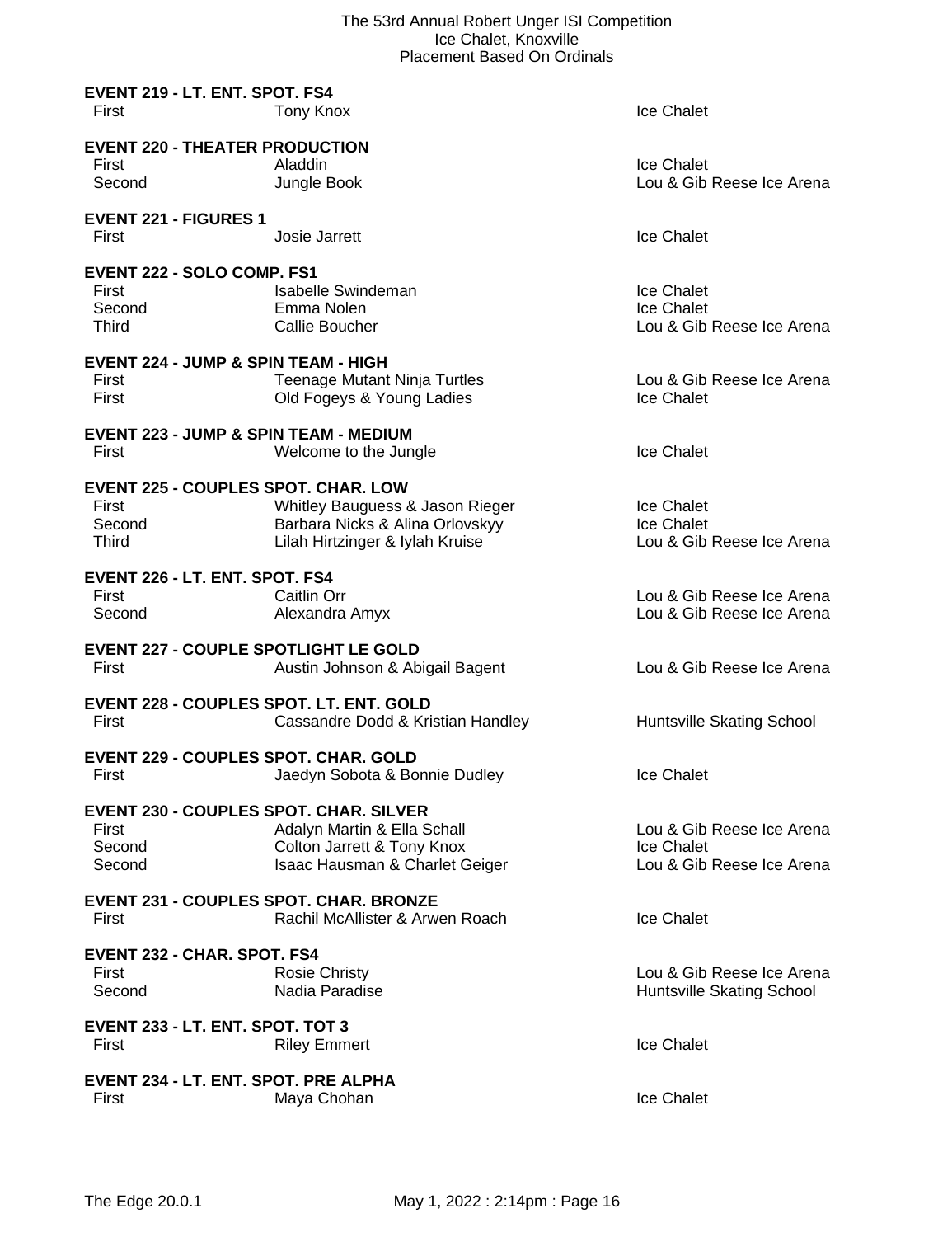| EVENT 219 - LT. ENT. SPOT. FS4<br>First                                    | Tony Knox                                                                                             | Ice Chalet                                                           |
|----------------------------------------------------------------------------|-------------------------------------------------------------------------------------------------------|----------------------------------------------------------------------|
| <b>EVENT 220 - THEATER PRODUCTION</b><br>First<br>Second                   | Aladdin<br>Jungle Book                                                                                | Ice Chalet<br>Lou & Gib Reese Ice Arena                              |
| <b>EVENT 221 - FIGURES 1</b><br>First                                      | Josie Jarrett                                                                                         | <b>Ice Chalet</b>                                                    |
| EVENT 222 - SOLO COMP. FS1<br>First<br>Second<br><b>Third</b>              | Isabelle Swindeman<br>Emma Nolen<br>Callie Boucher                                                    | Ice Chalet<br>Ice Chalet<br>Lou & Gib Reese Ice Arena                |
| EVENT 224 - JUMP & SPIN TEAM - HIGH<br>First<br>First                      | <b>Teenage Mutant Ninja Turtles</b><br>Old Fogeys & Young Ladies                                      | Lou & Gib Reese Ice Arena<br>Ice Chalet                              |
| <b>EVENT 223 - JUMP &amp; SPIN TEAM - MEDIUM</b><br>First                  | Welcome to the Jungle                                                                                 | Ice Chalet                                                           |
| <b>EVENT 225 - COUPLES SPOT. CHAR. LOW</b><br>First<br>Second<br>Third     | Whitley Bauguess & Jason Rieger<br>Barbara Nicks & Alina Orlovskyy<br>Lilah Hirtzinger & Iylah Kruise | <b>Ice Chalet</b><br>Ice Chalet<br>Lou & Gib Reese Ice Arena         |
| EVENT 226 - LT. ENT. SPOT. FS4<br>First<br>Second                          | Caitlin Orr<br>Alexandra Amyx                                                                         | Lou & Gib Reese Ice Arena<br>Lou & Gib Reese Ice Arena               |
| <b>EVENT 227 - COUPLE SPOTLIGHT LE GOLD</b><br>First                       | Austin Johnson & Abigail Bagent                                                                       | Lou & Gib Reese Ice Arena                                            |
| <b>EVENT 228 - COUPLES SPOT. LT. ENT. GOLD</b><br>First                    | Cassandre Dodd & Kristian Handley                                                                     | Huntsville Skating School                                            |
| <b>EVENT 229 - COUPLES SPOT. CHAR. GOLD</b><br>First                       | Jaedyn Sobota & Bonnie Dudley                                                                         | Ice Chalet                                                           |
| <b>EVENT 230 - COUPLES SPOT, CHAR, SILVER</b><br>First<br>Second<br>Second | Adalyn Martin & Ella Schall<br>Colton Jarrett & Tony Knox<br>Isaac Hausman & Charlet Geiger           | Lou & Gib Reese Ice Arena<br>Ice Chalet<br>Lou & Gib Reese Ice Arena |
| <b>EVENT 231 - COUPLES SPOT, CHAR, BRONZE</b><br>First                     | Rachil McAllister & Arwen Roach                                                                       | Ice Chalet                                                           |
| <b>EVENT 232 - CHAR. SPOT. FS4</b><br>First<br>Second                      | <b>Rosie Christy</b><br>Nadia Paradise                                                                | Lou & Gib Reese Ice Arena<br>Huntsville Skating School               |
| EVENT 233 - LT. ENT. SPOT. TOT 3<br>First                                  | <b>Riley Emmert</b>                                                                                   | Ice Chalet                                                           |
| EVENT 234 - LT. ENT. SPOT. PRE ALPHA<br>First                              | Maya Chohan                                                                                           | Ice Chalet                                                           |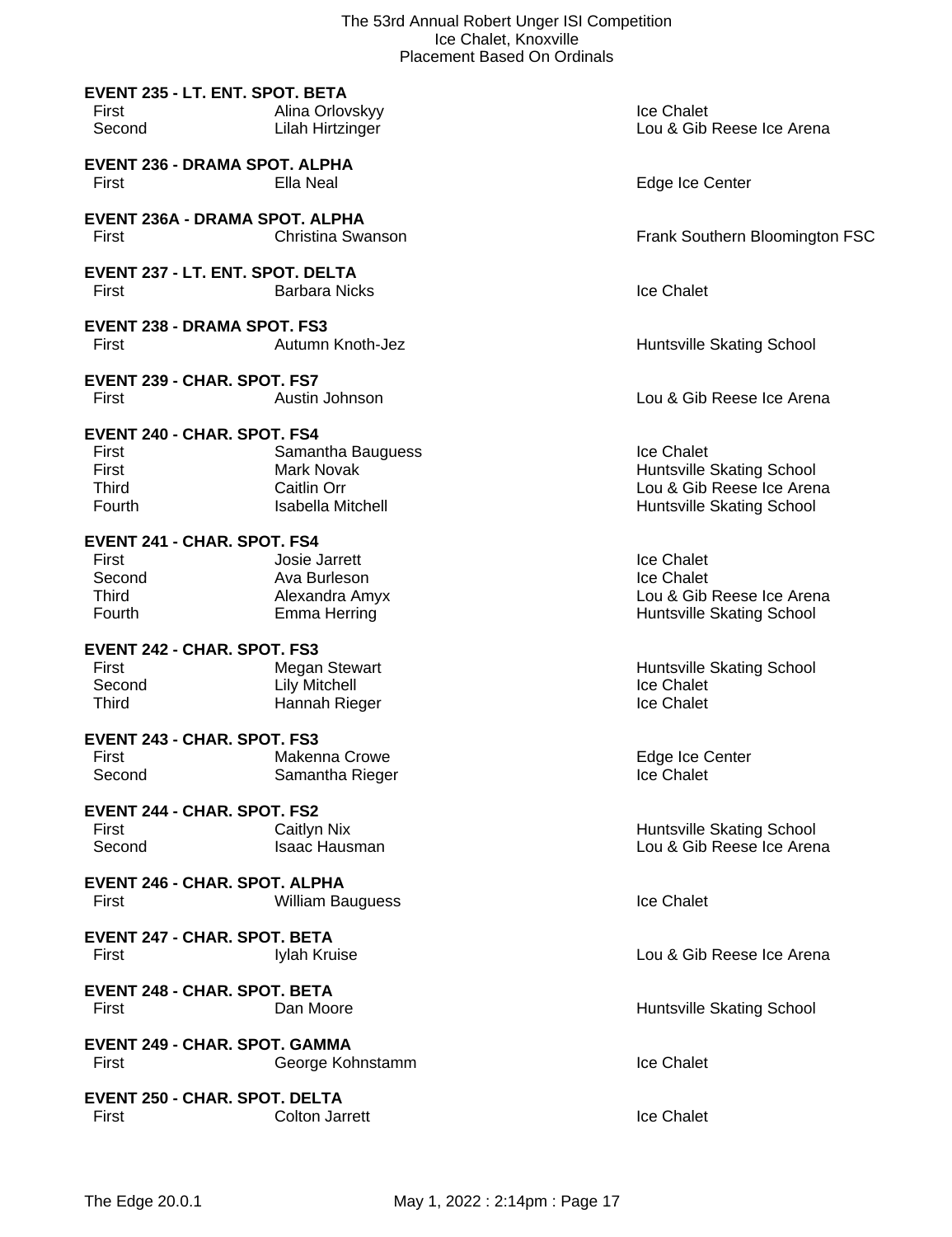|                                               | ice Chalet, Knoxville<br><b>Placement Based On Ordinals</b> |                                                        |
|-----------------------------------------------|-------------------------------------------------------------|--------------------------------------------------------|
| <b>EVENT 235 - LT. ENT. SPOT. BETA</b>        |                                                             |                                                        |
| First                                         | Alina Orlovskyy                                             | Ice Chalet                                             |
| Second                                        | Lilah Hirtzinger                                            | Lou & Gib Reese Ice Arena                              |
| <b>EVENT 236 - DRAMA SPOT. ALPHA</b>          |                                                             |                                                        |
| First                                         | Ella Neal                                                   | Edge Ice Center                                        |
|                                               |                                                             |                                                        |
| EVENT 236A - DRAMA SPOT. ALPHA                |                                                             |                                                        |
| First                                         | Christina Swanson                                           | Frank Southern Bloomington FSC                         |
| EVENT 237 - LT. ENT. SPOT. DELTA              |                                                             |                                                        |
| First                                         | <b>Barbara Nicks</b>                                        | Ice Chalet                                             |
|                                               |                                                             |                                                        |
| <b>EVENT 238 - DRAMA SPOT. FS3</b>            |                                                             |                                                        |
| First                                         | Autumn Knoth-Jez                                            | Huntsville Skating School                              |
| EVENT 239 - CHAR. SPOT. FS7                   |                                                             |                                                        |
| First                                         | Austin Johnson                                              | Lou & Gib Reese Ice Arena                              |
|                                               |                                                             |                                                        |
| <b>EVENT 240 - CHAR. SPOT. FS4</b><br>First   |                                                             | Ice Chalet                                             |
| First                                         | Samantha Bauguess<br><b>Mark Novak</b>                      | <b>Huntsville Skating School</b>                       |
| <b>Third</b>                                  | Caitlin Orr                                                 | Lou & Gib Reese Ice Arena                              |
| Fourth                                        | Isabella Mitchell                                           | Huntsville Skating School                              |
|                                               |                                                             |                                                        |
| <b>EVENT 241 - CHAR. SPOT. FS4</b><br>First   | Josie Jarrett                                               | Ice Chalet                                             |
| Second                                        | Ava Burleson                                                | Ice Chalet                                             |
| Third                                         | Alexandra Amyx                                              | Lou & Gib Reese Ice Arena                              |
| Fourth                                        | Emma Herring                                                | Huntsville Skating School                              |
|                                               |                                                             |                                                        |
| <b>EVENT 242 - CHAR. SPOT. FS3</b><br>First   | <b>Megan Stewart</b>                                        | Huntsville Skating School                              |
| Second                                        | <b>Lily Mitchell</b>                                        | Ice Chalet                                             |
| Third                                         | Hannah Rieger                                               | Ice Chalet                                             |
|                                               |                                                             |                                                        |
| EVENT 243 - CHAR. SPOT. FS3<br>First          | Makenna Crowe                                               | Edge Ice Center                                        |
| Second                                        | Samantha Rieger                                             | Ice Chalet                                             |
|                                               |                                                             |                                                        |
| <b>EVENT 244 - CHAR. SPOT. FS2</b>            |                                                             |                                                        |
| First                                         | Caitlyn Nix<br><b>Isaac Hausman</b>                         | Huntsville Skating School<br>Lou & Gib Reese Ice Arena |
| Second                                        |                                                             |                                                        |
| <b>EVENT 246 - CHAR. SPOT. ALPHA</b>          |                                                             |                                                        |
| First                                         | <b>William Bauguess</b>                                     | <b>Ice Chalet</b>                                      |
|                                               |                                                             |                                                        |
| <b>EVENT 247 - CHAR. SPOT. BETA</b>           |                                                             |                                                        |
| First                                         | Iylah Kruise                                                | Lou & Gib Reese Ice Arena                              |
| <b>EVENT 248 - CHAR. SPOT. BETA</b>           |                                                             |                                                        |
| First                                         | Dan Moore                                                   | Huntsville Skating School                              |
|                                               |                                                             |                                                        |
| <b>EVENT 249 - CHAR. SPOT. GAMMA</b><br>First |                                                             | <b>Ice Chalet</b>                                      |
|                                               | George Kohnstamm                                            |                                                        |
| <b>EVENT 250 - CHAR. SPOT. DELTA</b>          |                                                             |                                                        |
| First                                         | <b>Colton Jarrett</b>                                       | Ice Chalet                                             |